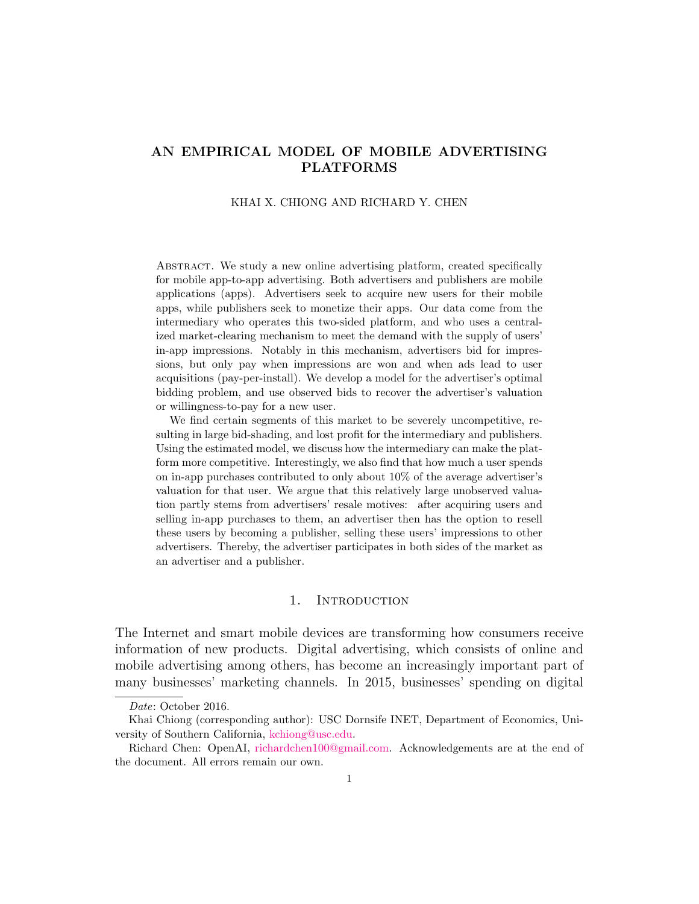# AN EMPIRICAL MODEL OF MOBILE ADVERTISING PLATFORMS

# KHAI X. CHIONG AND RICHARD Y. CHEN

Abstract. We study a new online advertising platform, created specifically for mobile app-to-app advertising. Both advertisers and publishers are mobile applications (apps). Advertisers seek to acquire new users for their mobile apps, while publishers seek to monetize their apps. Our data come from the intermediary who operates this two-sided platform, and who uses a centralized market-clearing mechanism to meet the demand with the supply of users' in-app impressions. Notably in this mechanism, advertisers bid for impressions, but only pay when impressions are won and when ads lead to user acquisitions (pay-per-install). We develop a model for the advertiser's optimal bidding problem, and use observed bids to recover the advertiser's valuation or willingness-to-pay for a new user.

We find certain segments of this market to be severely uncompetitive, resulting in large bid-shading, and lost profit for the intermediary and publishers. Using the estimated model, we discuss how the intermediary can make the platform more competitive. Interestingly, we also find that how much a user spends on in-app purchases contributed to only about 10% of the average advertiser's valuation for that user. We argue that this relatively large unobserved valuation partly stems from advertisers' resale motives: after acquiring users and selling in-app purchases to them, an advertiser then has the option to resell these users by becoming a publisher, selling these users' impressions to other advertisers. Thereby, the advertiser participates in both sides of the market as an advertiser and a publisher.

### 1. INTRODUCTION

The Internet and smart mobile devices are transforming how consumers receive information of new products. Digital advertising, which consists of online and mobile advertising among others, has become an increasingly important part of many businesses' marketing channels. In 2015, businesses' spending on digital

Date: October 2016.

Khai Chiong (corresponding author): USC Dornsife INET, Department of Economics, University of Southern California, [kchiong@usc.edu.](mailto:kchiong@usc.edu)

Richard Chen: OpenAI, [richardchen100@gmail.com.](richardchen100@gmail.com) Acknowledgements are at the end of the document. All errors remain our own.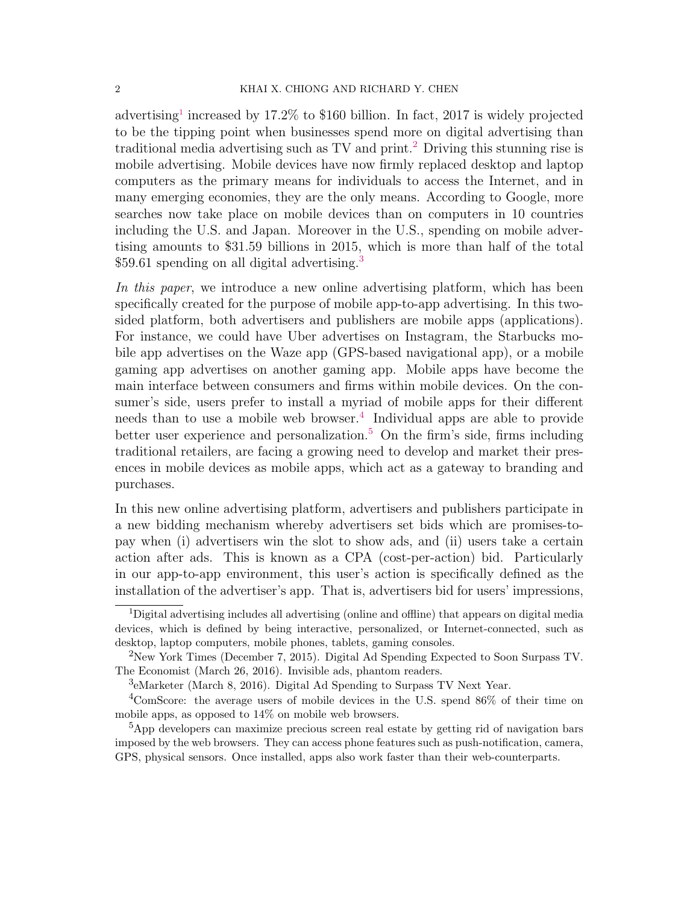advertising<sup>[1](#page-1-0)</sup> increased by 17.2% to \$160 billion. In fact, 2017 is widely projected to be the tipping point when businesses spend more on digital advertising than traditional media advertising such as TV and print.<sup>[2](#page-1-1)</sup> Driving this stunning rise is mobile advertising. Mobile devices have now firmly replaced desktop and laptop computers as the primary means for individuals to access the Internet, and in many emerging economies, they are the only means. According to Google, more searches now take place on mobile devices than on computers in 10 countries including the U.S. and Japan. Moreover in the U.S., spending on mobile advertising amounts to \$31.59 billions in 2015, which is more than half of the total \$59.61 spending on all digital advertising.<sup>[3](#page-1-2)</sup>

In this paper, we introduce a new online advertising platform, which has been specifically created for the purpose of mobile app-to-app advertising. In this twosided platform, both advertisers and publishers are mobile apps (applications). For instance, we could have Uber advertises on Instagram, the Starbucks mobile app advertises on the Waze app (GPS-based navigational app), or a mobile gaming app advertises on another gaming app. Mobile apps have become the main interface between consumers and firms within mobile devices. On the consumer's side, users prefer to install a myriad of mobile apps for their different needs than to use a mobile web browser.<sup>[4](#page-1-3)</sup> Individual apps are able to provide better user experience and personalization.<sup>[5](#page-1-4)</sup> On the firm's side, firms including traditional retailers, are facing a growing need to develop and market their presences in mobile devices as mobile apps, which act as a gateway to branding and purchases.

In this new online advertising platform, advertisers and publishers participate in a new bidding mechanism whereby advertisers set bids which are promises-topay when (i) advertisers win the slot to show ads, and (ii) users take a certain action after ads. This is known as a CPA (cost-per-action) bid. Particularly in our app-to-app environment, this user's action is specifically defined as the installation of the advertiser's app. That is, advertisers bid for users' impressions,

<span id="page-1-0"></span><sup>1</sup>Digital advertising includes all advertising (online and offline) that appears on digital media devices, which is defined by being interactive, personalized, or Internet-connected, such as desktop, laptop computers, mobile phones, tablets, gaming consoles.

<span id="page-1-1"></span><sup>2</sup>New York Times (December 7, 2015). Digital Ad Spending Expected to Soon Surpass TV. The Economist (March 26, 2016). Invisible ads, phantom readers.

<span id="page-1-3"></span><span id="page-1-2"></span><sup>3</sup> eMarketer (March 8, 2016). Digital Ad Spending to Surpass TV Next Year.

<sup>&</sup>lt;sup>4</sup>ComScore: the average users of mobile devices in the U.S. spend 86% of their time on mobile apps, as opposed to 14% on mobile web browsers.

<span id="page-1-4"></span><sup>5</sup>App developers can maximize precious screen real estate by getting rid of navigation bars imposed by the web browsers. They can access phone features such as push-notification, camera, GPS, physical sensors. Once installed, apps also work faster than their web-counterparts.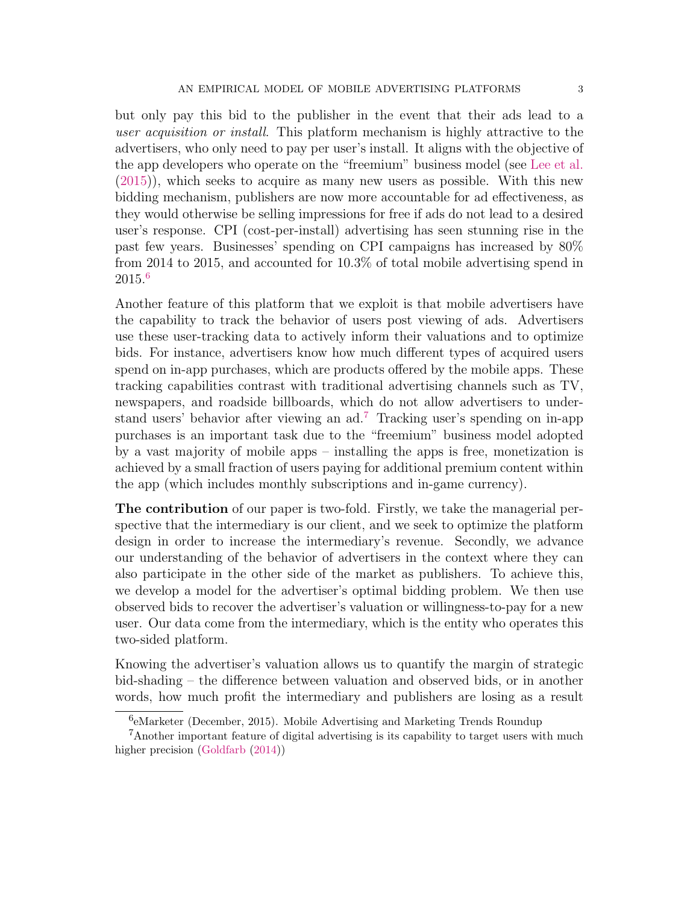but only pay this bid to the publisher in the event that their ads lead to a user acquisition or install. This platform mechanism is highly attractive to the advertisers, who only need to pay per user's install. It aligns with the objective of the app developers who operate on the "freemium" business model (see [Lee et al.](#page-43-0) [\(2015\)](#page-43-0)), which seeks to acquire as many new users as possible. With this new bidding mechanism, publishers are now more accountable for ad effectiveness, as they would otherwise be selling impressions for free if ads do not lead to a desired user's response. CPI (cost-per-install) advertising has seen stunning rise in the past few years. Businesses' spending on CPI campaigns has increased by 80% from 2014 to 2015, and accounted for 10.3% of total mobile advertising spend in 2015.[6](#page-2-0)

Another feature of this platform that we exploit is that mobile advertisers have the capability to track the behavior of users post viewing of ads. Advertisers use these user-tracking data to actively inform their valuations and to optimize bids. For instance, advertisers know how much different types of acquired users spend on in-app purchases, which are products offered by the mobile apps. These tracking capabilities contrast with traditional advertising channels such as TV, newspapers, and roadside billboards, which do not allow advertisers to understand users' behavior after viewing an ad.[7](#page-2-1) Tracking user's spending on in-app purchases is an important task due to the "freemium" business model adopted by a vast majority of mobile apps – installing the apps is free, monetization is achieved by a small fraction of users paying for additional premium content within the app (which includes monthly subscriptions and in-game currency).

The contribution of our paper is two-fold. Firstly, we take the managerial perspective that the intermediary is our client, and we seek to optimize the platform design in order to increase the intermediary's revenue. Secondly, we advance our understanding of the behavior of advertisers in the context where they can also participate in the other side of the market as publishers. To achieve this, we develop a model for the advertiser's optimal bidding problem. We then use observed bids to recover the advertiser's valuation or willingness-to-pay for a new user. Our data come from the intermediary, which is the entity who operates this two-sided platform.

Knowing the advertiser's valuation allows us to quantify the margin of strategic bid-shading – the difference between valuation and observed bids, or in another words, how much profit the intermediary and publishers are losing as a result

<span id="page-2-1"></span><span id="page-2-0"></span><sup>6</sup> eMarketer (December, 2015). Mobile Advertising and Marketing Trends Roundup

<sup>&</sup>lt;sup>7</sup>Another important feature of digital advertising is its capability to target users with much higher precision [\(Goldfarb](#page-42-0)  $(2014)$ )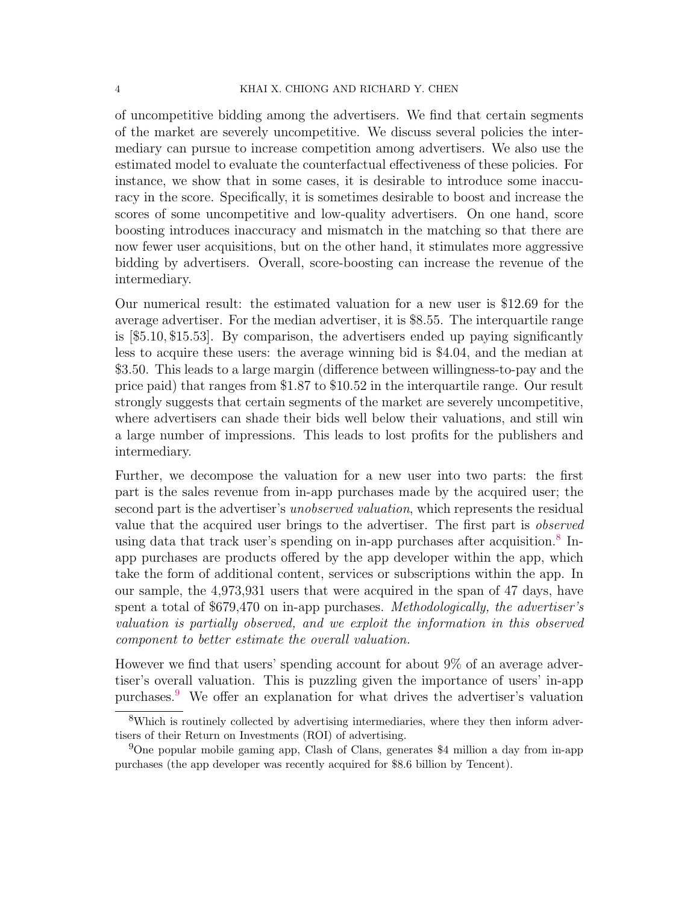of uncompetitive bidding among the advertisers. We find that certain segments of the market are severely uncompetitive. We discuss several policies the intermediary can pursue to increase competition among advertisers. We also use the estimated model to evaluate the counterfactual effectiveness of these policies. For instance, we show that in some cases, it is desirable to introduce some inaccuracy in the score. Specifically, it is sometimes desirable to boost and increase the scores of some uncompetitive and low-quality advertisers. On one hand, score boosting introduces inaccuracy and mismatch in the matching so that there are now fewer user acquisitions, but on the other hand, it stimulates more aggressive bidding by advertisers. Overall, score-boosting can increase the revenue of the intermediary.

Our numerical result: the estimated valuation for a new user is \$12.69 for the average advertiser. For the median advertiser, it is \$8.55. The interquartile range is [\$5.10, \$15.53]. By comparison, the advertisers ended up paying significantly less to acquire these users: the average winning bid is \$4.04, and the median at \$3.50. This leads to a large margin (difference between willingness-to-pay and the price paid) that ranges from \$1.87 to \$10.52 in the interquartile range. Our result strongly suggests that certain segments of the market are severely uncompetitive, where advertisers can shade their bids well below their valuations, and still win a large number of impressions. This leads to lost profits for the publishers and intermediary.

Further, we decompose the valuation for a new user into two parts: the first part is the sales revenue from in-app purchases made by the acquired user; the second part is the advertiser's unobserved valuation, which represents the residual value that the acquired user brings to the advertiser. The first part is observed using data that track user's spending on in-app purchases after acquisition.<sup>[8](#page-3-0)</sup> Inapp purchases are products offered by the app developer within the app, which take the form of additional content, services or subscriptions within the app. In our sample, the 4,973,931 users that were acquired in the span of 47 days, have spent a total of \$679,470 on in-app purchases. Methodologically, the advertiser's valuation is partially observed, and we exploit the information in this observed component to better estimate the overall valuation.

However we find that users' spending account for about 9% of an average advertiser's overall valuation. This is puzzling given the importance of users' in-app purchases.[9](#page-3-1) We offer an explanation for what drives the advertiser's valuation

<span id="page-3-0"></span><sup>8</sup>Which is routinely collected by advertising intermediaries, where they then inform advertisers of their Return on Investments (ROI) of advertising.

<span id="page-3-1"></span><sup>9</sup>One popular mobile gaming app, Clash of Clans, generates \$4 million a day from in-app purchases (the app developer was recently acquired for \$8.6 billion by Tencent).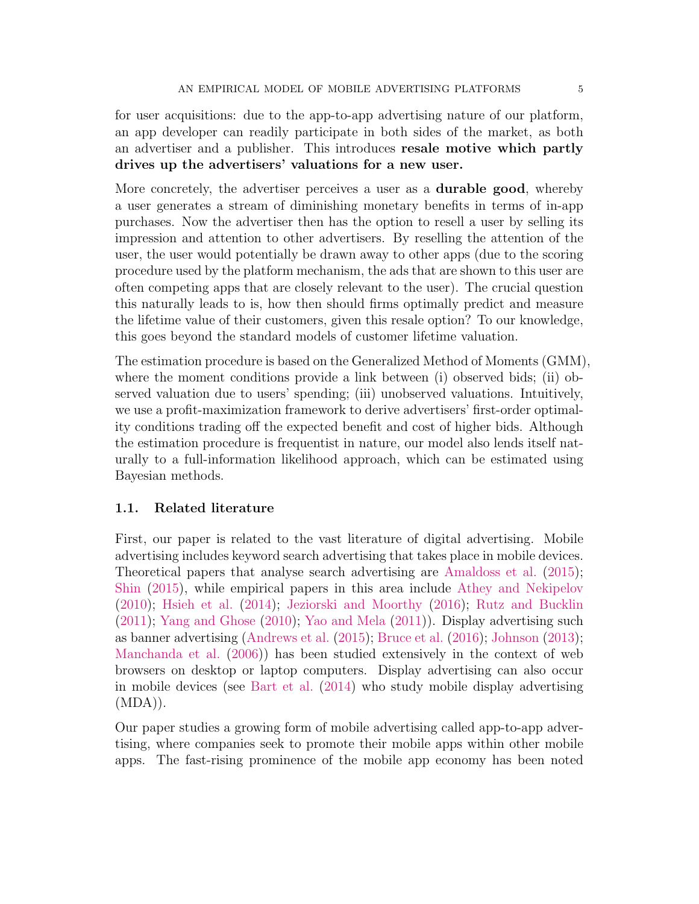for user acquisitions: due to the app-to-app advertising nature of our platform, an app developer can readily participate in both sides of the market, as both an advertiser and a publisher. This introduces resale motive which partly drives up the advertisers' valuations for a new user.

More concretely, the advertiser perceives a user as a durable good, whereby a user generates a stream of diminishing monetary benefits in terms of in-app purchases. Now the advertiser then has the option to resell a user by selling its impression and attention to other advertisers. By reselling the attention of the user, the user would potentially be drawn away to other apps (due to the scoring procedure used by the platform mechanism, the ads that are shown to this user are often competing apps that are closely relevant to the user). The crucial question this naturally leads to is, how then should firms optimally predict and measure the lifetime value of their customers, given this resale option? To our knowledge, this goes beyond the standard models of customer lifetime valuation.

The estimation procedure is based on the Generalized Method of Moments (GMM), where the moment conditions provide a link between (i) observed bids; (ii) observed valuation due to users' spending; (iii) unobserved valuations. Intuitively, we use a profit-maximization framework to derive advertisers' first-order optimality conditions trading off the expected benefit and cost of higher bids. Although the estimation procedure is frequentist in nature, our model also lends itself naturally to a full-information likelihood approach, which can be estimated using Bayesian methods.

## 1.1. Related literature

First, our paper is related to the vast literature of digital advertising. Mobile advertising includes keyword search advertising that takes place in mobile devices. Theoretical papers that analyse search advertising are [Amaldoss et al.](#page-41-0) [\(2015\)](#page-41-0); [Shin](#page-44-0) [\(2015\)](#page-44-0), while empirical papers in this area include [Athey and Nekipelov](#page-42-1) [\(2010\)](#page-42-1); [Hsieh et al.](#page-43-1) [\(2014\)](#page-43-1); [Jeziorski and Moorthy](#page-43-2) [\(2016\)](#page-43-2); [Rutz and Bucklin](#page-44-1) [\(2011\)](#page-44-1); [Yang and Ghose](#page-44-2) [\(2010\)](#page-44-2); [Yao and Mela](#page-44-3) [\(2011\)](#page-44-3)). Display advertising such as banner advertising [\(Andrews et al.](#page-41-1) [\(2015\)](#page-41-1); [Bruce et al.](#page-42-2) [\(2016\)](#page-42-2); [Johnson](#page-43-3) [\(2013\)](#page-43-3); [Manchanda et al.](#page-44-4) [\(2006\)](#page-44-4)) has been studied extensively in the context of web browsers on desktop or laptop computers. Display advertising can also occur in mobile devices (see [Bart et al.](#page-42-3) [\(2014\)](#page-42-3) who study mobile display advertising  $(MDA)$ ).

Our paper studies a growing form of mobile advertising called app-to-app advertising, where companies seek to promote their mobile apps within other mobile apps. The fast-rising prominence of the mobile app economy has been noted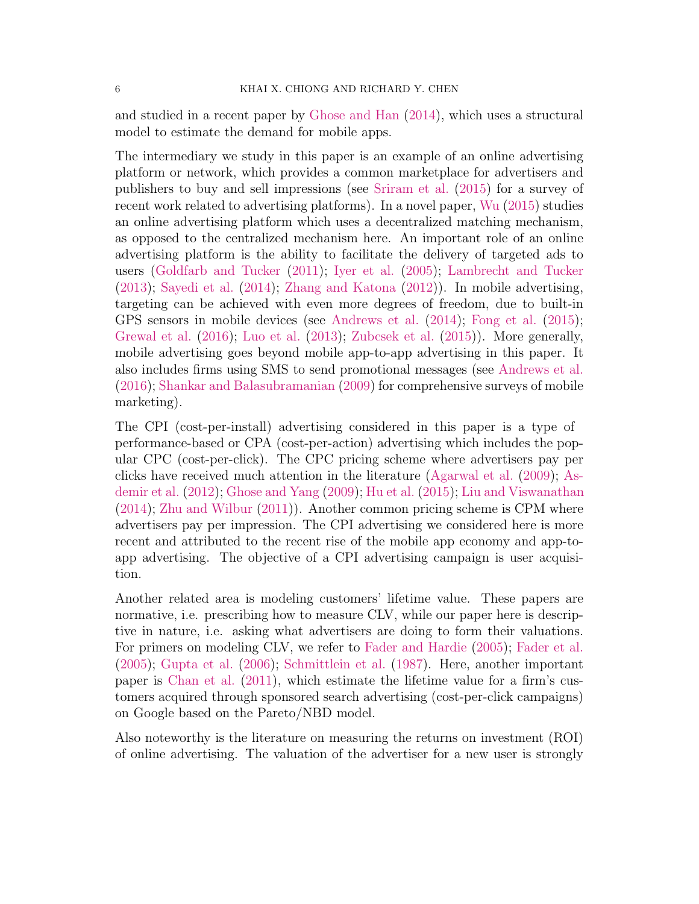and studied in a recent paper by [Ghose and Han](#page-42-4) [\(2014\)](#page-42-4), which uses a structural model to estimate the demand for mobile apps.

The intermediary we study in this paper is an example of an online advertising platform or network, which provides a common marketplace for advertisers and publishers to buy and sell impressions (see [Sriram et al.](#page-44-5) [\(2015\)](#page-44-5) for a survey of recent work related to advertising platforms). In a novel paper, [Wu](#page-44-6) [\(2015\)](#page-44-6) studies an online advertising platform which uses a decentralized matching mechanism, as opposed to the centralized mechanism here. An important role of an online advertising platform is the ability to facilitate the delivery of targeted ads to users [\(Goldfarb and Tucker](#page-43-4) [\(2011\)](#page-43-4); [Iyer et al.](#page-43-5) [\(2005\)](#page-43-5); [Lambrecht and Tucker](#page-43-6) [\(2013\)](#page-43-6); [Sayedi et al.](#page-44-7) [\(2014\)](#page-44-7); [Zhang and Katona](#page-44-8) [\(2012\)](#page-44-8)). In mobile advertising, targeting can be achieved with even more degrees of freedom, due to built-in GPS sensors in mobile devices (see [Andrews et al.](#page-41-2) [\(2014\)](#page-41-2); [Fong et al.](#page-42-5) [\(2015\)](#page-42-5); [Grewal et al.](#page-43-7) [\(2016\)](#page-43-7); [Luo et al.](#page-43-8) [\(2013\)](#page-43-8); [Zubcsek et al.](#page-45-0) [\(2015\)](#page-45-0)). More generally, mobile advertising goes beyond mobile app-to-app advertising in this paper. It also includes firms using SMS to send promotional messages (see [Andrews et al.](#page-41-3) [\(2016\)](#page-41-3); [Shankar and Balasubramanian](#page-44-9) [\(2009\)](#page-44-9) for comprehensive surveys of mobile marketing).

The CPI (cost-per-install) advertising considered in this paper is a type of performance-based or CPA (cost-per-action) advertising which includes the popular CPC (cost-per-click). The CPC pricing scheme where advertisers pay per clicks have received much attention in the literature [\(Agarwal et al.](#page-41-4) [\(2009\)](#page-41-4); [As](#page-42-6)[demir et al.](#page-42-6) [\(2012\)](#page-42-6); [Ghose and Yang](#page-42-7) [\(2009\)](#page-42-7); [Hu et al.](#page-43-9) [\(2015\)](#page-43-9); [Liu and Viswanathan](#page-43-10) [\(2014\)](#page-43-10); [Zhu and Wilbur](#page-45-1) [\(2011\)](#page-45-1)). Another common pricing scheme is CPM where advertisers pay per impression. The CPI advertising we considered here is more recent and attributed to the recent rise of the mobile app economy and app-toapp advertising. The objective of a CPI advertising campaign is user acquisition.

Another related area is modeling customers' lifetime value. These papers are normative, i.e. prescribing how to measure CLV, while our paper here is descriptive in nature, i.e. asking what advertisers are doing to form their valuations. For primers on modeling CLV, we refer to [Fader and Hardie](#page-42-8) [\(2005\)](#page-42-8); [Fader et al.](#page-42-9) [\(2005\)](#page-42-9); [Gupta et al.](#page-43-11) [\(2006\)](#page-43-11); [Schmittlein et al.](#page-44-10) [\(1987\)](#page-44-10). Here, another important paper is [Chan et al.](#page-42-10) [\(2011\)](#page-42-10), which estimate the lifetime value for a firm's customers acquired through sponsored search advertising (cost-per-click campaigns) on Google based on the Pareto/NBD model.

Also noteworthy is the literature on measuring the returns on investment (ROI) of online advertising. The valuation of the advertiser for a new user is strongly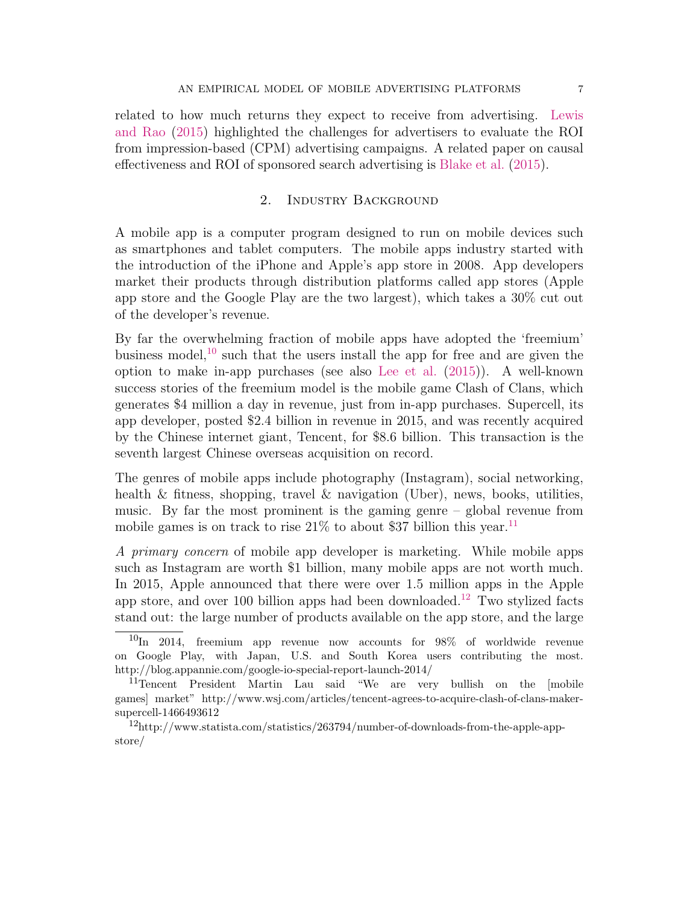related to how much returns they expect to receive from advertising. [Lewis](#page-43-12) [and Rao](#page-43-12) [\(2015\)](#page-43-12) highlighted the challenges for advertisers to evaluate the ROI from impression-based (CPM) advertising campaigns. A related paper on causal effectiveness and ROI of sponsored search advertising is [Blake et al.](#page-42-11) [\(2015\)](#page-42-11).

# 2. Industry Background

<span id="page-6-3"></span>A mobile app is a computer program designed to run on mobile devices such as smartphones and tablet computers. The mobile apps industry started with the introduction of the iPhone and Apple's app store in 2008. App developers market their products through distribution platforms called app stores (Apple app store and the Google Play are the two largest), which takes a 30% cut out of the developer's revenue.

By far the overwhelming fraction of mobile apps have adopted the 'freemium' business model,  $^{10}$  $^{10}$  $^{10}$  such that the users install the app for free and are given the option to make in-app purchases (see also [Lee et al.](#page-43-0) [\(2015\)](#page-43-0)). A well-known success stories of the freemium model is the mobile game Clash of Clans, which generates \$4 million a day in revenue, just from in-app purchases. Supercell, its app developer, posted \$2.4 billion in revenue in 2015, and was recently acquired by the Chinese internet giant, Tencent, for \$8.6 billion. This transaction is the seventh largest Chinese overseas acquisition on record.

The genres of mobile apps include photography (Instagram), social networking, health & fitness, shopping, travel & navigation (Uber), news, books, utilities, music. By far the most prominent is the gaming genre – global revenue from mobile games is on track to rise  $21\%$  to about \$37 billion this year.<sup>[11](#page-6-1)</sup>

A primary concern of mobile app developer is marketing. While mobile apps such as Instagram are worth \$1 billion, many mobile apps are not worth much. In 2015, Apple announced that there were over 1.5 million apps in the Apple app store, and over 100 billion apps had been downloaded.<sup>[12](#page-6-2)</sup> Two stylized facts stand out: the large number of products available on the app store, and the large

<span id="page-6-0"></span> $10$ In 2014, freemium app revenue now accounts for 98% of worldwide revenue on Google Play, with Japan, U.S. and South Korea users contributing the most. http://blog.appannie.com/google-io-special-report-launch-2014/

<span id="page-6-1"></span><sup>11</sup>Tencent President Martin Lau said "We are very bullish on the [mobile games] market" http://www.wsj.com/articles/tencent-agrees-to-acquire-clash-of-clans-makersupercell-1466493612

<span id="page-6-2"></span><sup>12</sup>http://www.statista.com/statistics/263794/number-of-downloads-from-the-apple-appstore/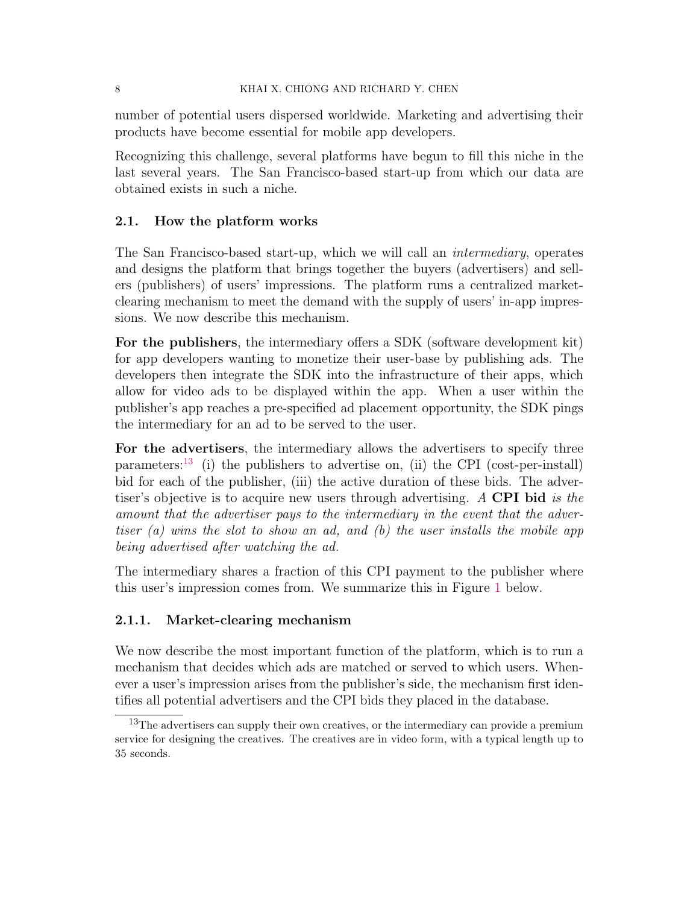number of potential users dispersed worldwide. Marketing and advertising their products have become essential for mobile app developers.

Recognizing this challenge, several platforms have begun to fill this niche in the last several years. The San Francisco-based start-up from which our data are obtained exists in such a niche.

# <span id="page-7-1"></span>2.1. How the platform works

The San Francisco-based start-up, which we will call an intermediary, operates and designs the platform that brings together the buyers (advertisers) and sellers (publishers) of users' impressions. The platform runs a centralized marketclearing mechanism to meet the demand with the supply of users' in-app impressions. We now describe this mechanism.

For the publishers, the intermediary offers a SDK (software development kit) for app developers wanting to monetize their user-base by publishing ads. The developers then integrate the SDK into the infrastructure of their apps, which allow for video ads to be displayed within the app. When a user within the publisher's app reaches a pre-specified ad placement opportunity, the SDK pings the intermediary for an ad to be served to the user.

For the advertisers, the intermediary allows the advertisers to specify three parameters:<sup>[13](#page-7-0)</sup> (i) the publishers to advertise on, (ii) the CPI (cost-per-install) bid for each of the publisher, (iii) the active duration of these bids. The advertiser's objective is to acquire new users through advertising. A CPI bid is the amount that the advertiser pays to the intermediary in the event that the advertiser (a) wins the slot to show an ad, and (b) the user installs the mobile app being advertised after watching the ad.

The intermediary shares a fraction of this CPI payment to the publisher where this user's impression comes from. We summarize this in Figure [1](#page-8-0) below.

## 2.1.1. Market-clearing mechanism

We now describe the most important function of the platform, which is to run a mechanism that decides which ads are matched or served to which users. Whenever a user's impression arises from the publisher's side, the mechanism first identifies all potential advertisers and the CPI bids they placed in the database.

<span id="page-7-0"></span> $13$ The advertisers can supply their own creatives, or the intermediary can provide a premium service for designing the creatives. The creatives are in video form, with a typical length up to 35 seconds.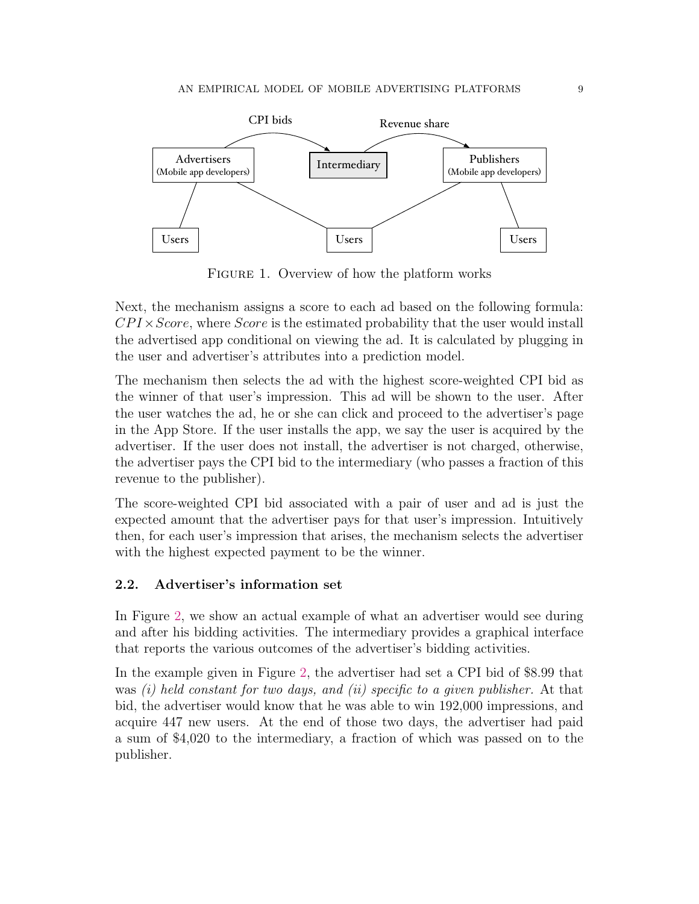<span id="page-8-0"></span>

FIGURE 1. Overview of how the platform works

Next, the mechanism assigns a score to each ad based on the following formula:  $CPI \times Score$ , where *Score* is the estimated probability that the user would install the advertised app conditional on viewing the ad. It is calculated by plugging in the user and advertiser's attributes into a prediction model.

The mechanism then selects the ad with the highest score-weighted CPI bid as the winner of that user's impression. This ad will be shown to the user. After the user watches the ad, he or she can click and proceed to the advertiser's page in the App Store. If the user installs the app, we say the user is acquired by the advertiser. If the user does not install, the advertiser is not charged, otherwise, the advertiser pays the CPI bid to the intermediary (who passes a fraction of this revenue to the publisher).

The score-weighted CPI bid associated with a pair of user and ad is just the expected amount that the advertiser pays for that user's impression. Intuitively then, for each user's impression that arises, the mechanism selects the advertiser with the highest expected payment to be the winner.

# <span id="page-8-1"></span>2.2. Advertiser's information set

In Figure [2,](#page-9-0) we show an actual example of what an advertiser would see during and after his bidding activities. The intermediary provides a graphical interface that reports the various outcomes of the advertiser's bidding activities.

In the example given in Figure [2,](#page-9-0) the advertiser had set a CPI bid of \$8.99 that was  $(i)$  held constant for two days, and  $(ii)$  specific to a given publisher. At that bid, the advertiser would know that he was able to win 192,000 impressions, and acquire 447 new users. At the end of those two days, the advertiser had paid a sum of \$4,020 to the intermediary, a fraction of which was passed on to the publisher.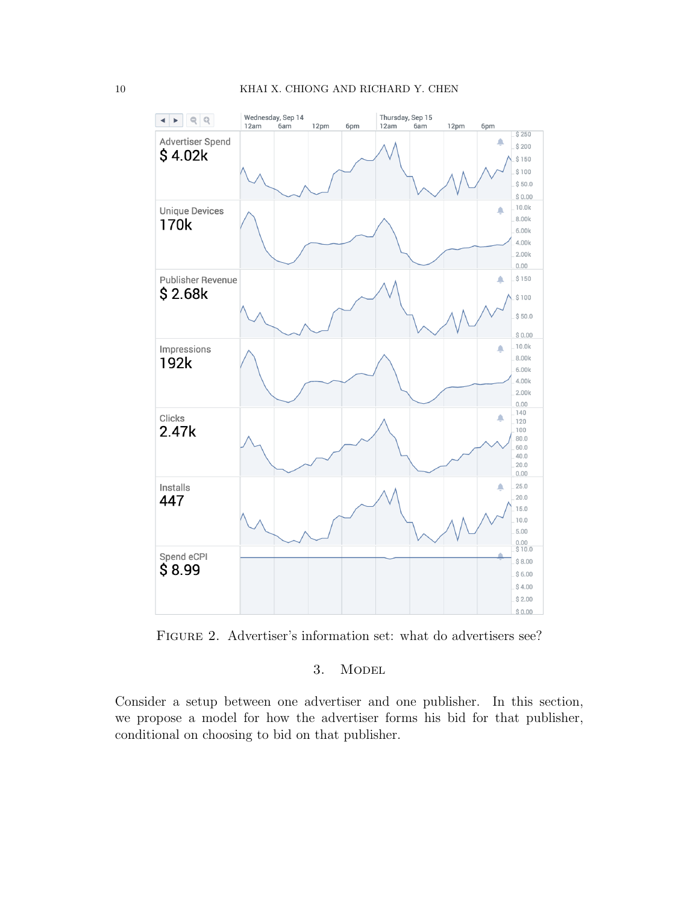<span id="page-9-0"></span>

FIGURE 2. Advertiser's information set: what do advertisers see?

# 3. MODEL

Consider a setup between one advertiser and one publisher. In this section, we propose a model for how the advertiser forms his bid for that publisher, conditional on choosing to bid on that publisher.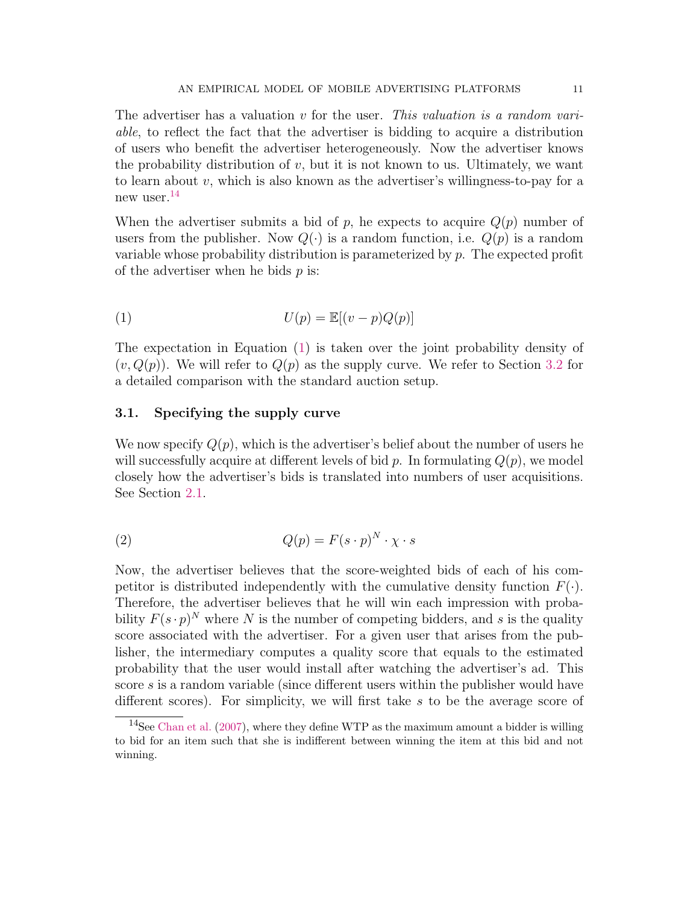The advertiser has a valuation v for the user. This valuation is a random variable, to reflect the fact that the advertiser is bidding to acquire a distribution of users who benefit the advertiser heterogeneously. Now the advertiser knows the probability distribution of  $v$ , but it is not known to us. Ultimately, we want to learn about  $v$ , which is also known as the advertiser's willingness-to-pay for a new user.[14](#page-10-0)

When the advertiser submits a bid of p, he expects to acquire  $Q(p)$  number of users from the publisher. Now  $Q(\cdot)$  is a random function, i.e.  $Q(p)$  is a random variable whose probability distribution is parameterized by  $p$ . The expected profit of the advertiser when he bids  $p$  is:

<span id="page-10-1"></span>
$$
U(p) = \mathbb{E}[(v - p)Q(p)]
$$

The expectation in Equation [\(1\)](#page-10-1) is taken over the joint probability density of  $(v, Q(p))$ . We will refer to  $Q(p)$  as the supply curve. We refer to Section [3.2](#page-13-0) for a detailed comparison with the standard auction setup.

### 3.1. Specifying the supply curve

We now specify  $Q(p)$ , which is the advertiser's belief about the number of users he will successfully acquire at different levels of bid p. In formulating  $Q(p)$ , we model closely how the advertiser's bids is translated into numbers of user acquisitions. See Section [2.1.](#page-7-1)

(2) 
$$
Q(p) = F(s \cdot p)^N \cdot \chi \cdot s
$$

Now, the advertiser believes that the score-weighted bids of each of his competitor is distributed independently with the cumulative density function  $F(\cdot)$ . Therefore, the advertiser believes that he will win each impression with probability  $F(s \cdot p)^N$  where N is the number of competing bidders, and s is the quality score associated with the advertiser. For a given user that arises from the publisher, the intermediary computes a quality score that equals to the estimated probability that the user would install after watching the advertiser's ad. This score s is a random variable (since different users within the publisher would have different scores). For simplicity, we will first take s to be the average score of

<span id="page-10-0"></span><sup>&</sup>lt;sup>14</sup>See [Chan et al.](#page-42-12)  $(2007)$ , where they define WTP as the maximum amount a bidder is willing to bid for an item such that she is indifferent between winning the item at this bid and not winning.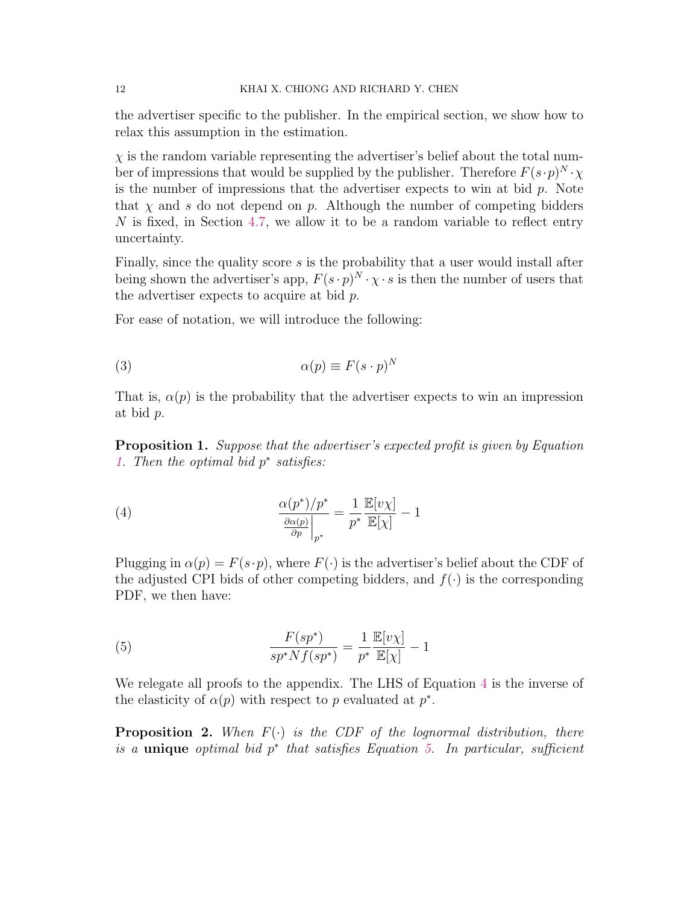the advertiser specific to the publisher. In the empirical section, we show how to relax this assumption in the estimation.

 $\chi$  is the random variable representing the advertiser's belief about the total number of impressions that would be supplied by the publisher. Therefore  $F(s \cdot p)^N \cdot \chi$ is the number of impressions that the advertiser expects to win at bid  $p$ . Note that  $\chi$  and s do not depend on p. Although the number of competing bidders N is fixed, in Section [4.7,](#page-19-0) we allow it to be a random variable to reflect entry uncertainty.

Finally, since the quality score s is the probability that a user would install after being shown the advertiser's app,  $F(s \cdot p)^N \cdot \chi \cdot s$  is then the number of users that the advertiser expects to acquire at bid  $p$ .

For ease of notation, we will introduce the following:

(3) 
$$
\alpha(p) \equiv F(s \cdot p)^N
$$

That is,  $\alpha(p)$  is the probability that the advertiser expects to win an impression at bid p.

<span id="page-11-3"></span>Proposition 1. Suppose that the advertiser's expected profit is given by Equation [1.](#page-10-1) Then the optimal bid  $p^*$  satisfies:

<span id="page-11-0"></span>(4) 
$$
\frac{\alpha(p^*)/p^*}{\frac{\partial \alpha(p)}{\partial p}\Big|_{p^*}} = \frac{1}{p^*} \frac{\mathbb{E}[v\chi]}{\mathbb{E}[\chi]} - 1
$$

Plugging in  $\alpha(p) = F(s \cdot p)$ , where  $F(\cdot)$  is the advertiser's belief about the CDF of the adjusted CPI bids of other competing bidders, and  $f(\cdot)$  is the corresponding PDF, we then have:

<span id="page-11-1"></span>(5) 
$$
\frac{F(sp^*)}{sp^*Nf(sp^*)} = \frac{1}{p^*} \frac{\mathbb{E}[v\chi]}{\mathbb{E}[\chi]} - 1
$$

We relegate all proofs to the appendix. The LHS of Equation [4](#page-11-0) is the inverse of the elasticity of  $\alpha(p)$  with respect to p evaluated at  $p^*$ .

<span id="page-11-2"></span>**Proposition 2.** When  $F(\cdot)$  is the CDF of the lognormal distribution, there is a unique optimal bid  $p^*$  that satisfies Equation [5.](#page-11-1) In particular, sufficient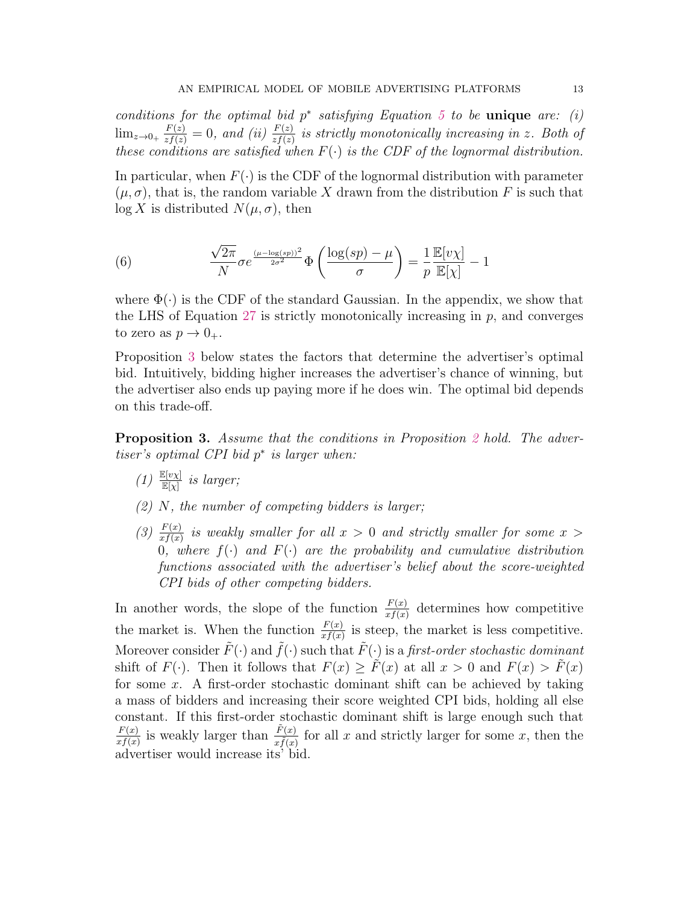conditions for the optimal bid  $p^*$  satisfying Equation [5](#page-11-1) to be unique are: (i)  $\lim_{z\to 0_+} \frac{F(z)}{zf(z)} = 0$ , and (ii)  $\frac{F(z)}{zf(z)}$  is strictly monotonically increasing in z. Both of these conditions are satisfied when  $F(\cdot)$  is the CDF of the lognormal distribution.

In particular, when  $F(\cdot)$  is the CDF of the lognormal distribution with parameter  $(\mu, \sigma)$ , that is, the random variable X drawn from the distribution F is such that  $\log X$  is distributed  $N(\mu, \sigma)$ , then

(6) 
$$
\frac{\sqrt{2\pi}}{N} \sigma e^{\frac{(\mu - \log(sp))^2}{2\sigma^2}} \Phi\left(\frac{\log(sp) - \mu}{\sigma}\right) = \frac{1}{p} \frac{\mathbb{E}[v\chi]}{\mathbb{E}[\chi]} - 1
$$

where  $\Phi(\cdot)$  is the CDF of the standard Gaussian. In the appendix, we show that the LHS of Equation [27](#page-37-0) is strictly monotonically increasing in  $p$ , and converges to zero as  $p \to 0_+$ .

Proposition [3](#page-12-0) below states the factors that determine the advertiser's optimal bid. Intuitively, bidding higher increases the advertiser's chance of winning, but the advertiser also ends up paying more if he does win. The optimal bid depends on this trade-off.

<span id="page-12-0"></span>Proposition 3. Assume that the conditions in Proposition [2](#page-11-2) hold. The advertiser's optimal CPI bid  $p^*$  is larger when:

- $(1)$   $\frac{\mathbb{E}[v\chi]}{\mathbb{E}[\chi]}$  is larger;
- $(2)$  N, the number of competing bidders is larger;
- (3)  $\frac{F(x)}{xf(x)}$  is weakly smaller for all  $x > 0$  and strictly smaller for some  $x > 0$ 0, where  $f(\cdot)$  and  $F(\cdot)$  are the probability and cumulative distribution functions associated with the advertiser's belief about the score-weighted CPI bids of other competing bidders.

In another words, the slope of the function  $\frac{F(x)}{xf(x)}$  determines how competitive the market is. When the function  $\frac{F(x)}{xf(x)}$  is steep, the market is less competitive. Moreover consider  $\tilde{F}(\cdot)$  and  $\tilde{f}(\cdot)$  such that  $\tilde{F}(\cdot)$  is a first-order stochastic dominant shift of  $F(\cdot)$ . Then it follows that  $F(x) \geq \tilde{F}(x)$  at all  $x > 0$  and  $F(x) > \tilde{F}(x)$ for some x. A first-order stochastic dominant shift can be achieved by taking a mass of bidders and increasing their score weighted CPI bids, holding all else constant. If this first-order stochastic dominant shift is large enough such that  $F(x)$  $\frac{F(x)}{xf(x)}$  is weakly larger than  $\frac{\tilde{F}(x)}{x\tilde{f}(x)}$  for all x and strictly larger for some x, then the advertiser would increase its' bid.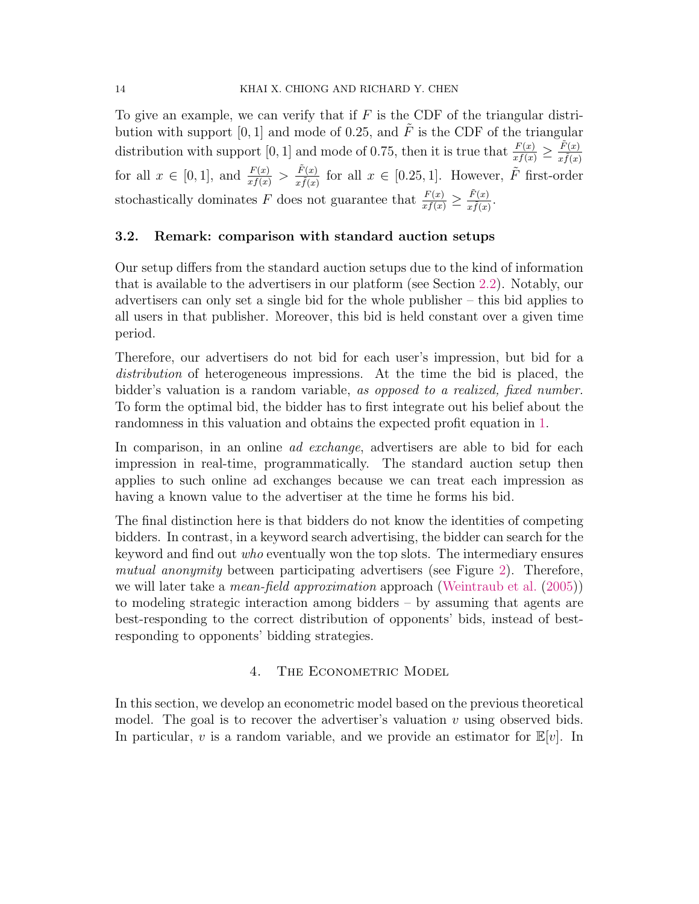To give an example, we can verify that if  $F$  is the CDF of the triangular distribution with support [0, 1] and mode of 0.25, and  $\tilde{F}$  is the CDF of the triangular distribution with support [0, 1] and mode of 0.75, then it is true that  $\frac{F(x)}{xf(x)} \ge \frac{\tilde{F}(x)}{x\tilde{f}(x)}$  $\overline{x \tilde{f}(x)}$ for all  $x \in [0,1]$ , and  $\frac{F(x)}{xf(x)} > \frac{\tilde{F}(x)}{x\tilde{f}(x)}$  $\frac{\tilde{F}(x)}{x\tilde{f}(x)}$  for all  $x \in [0.25, 1]$ . However,  $\tilde{F}$  first-order stochastically dominates F does not guarantee that  $\frac{F(x)}{xf(x)} \geq \frac{\tilde{F}(x)}{x\tilde{f}(x)}$  $\frac{F(x)}{x\tilde{f}(x)}$ .

### <span id="page-13-0"></span>3.2. Remark: comparison with standard auction setups

Our setup differs from the standard auction setups due to the kind of information that is available to the advertisers in our platform (see Section [2.2\)](#page-8-1). Notably, our advertisers can only set a single bid for the whole publisher – this bid applies to all users in that publisher. Moreover, this bid is held constant over a given time period.

Therefore, our advertisers do not bid for each user's impression, but bid for a distribution of heterogeneous impressions. At the time the bid is placed, the bidder's valuation is a random variable, as opposed to a realized, fixed number. To form the optimal bid, the bidder has to first integrate out his belief about the randomness in this valuation and obtains the expected profit equation in [1.](#page-10-1)

In comparison, in an online *ad exchange*, advertisers are able to bid for each impression in real-time, programmatically. The standard auction setup then applies to such online ad exchanges because we can treat each impression as having a known value to the advertiser at the time he forms his bid.

The final distinction here is that bidders do not know the identities of competing bidders. In contrast, in a keyword search advertising, the bidder can search for the keyword and find out who eventually won the top slots. The intermediary ensures mutual anonymity between participating advertisers (see Figure [2\)](#page-9-0). Therefore, we will later take a *mean-field approximation* approach [\(Weintraub et al.](#page-44-11) [\(2005\)](#page-44-11)) to modeling strategic interaction among bidders – by assuming that agents are best-responding to the correct distribution of opponents' bids, instead of bestresponding to opponents' bidding strategies.

# 4. THE ECONOMETRIC MODEL

<span id="page-13-1"></span>In this section, we develop an econometric model based on the previous theoretical model. The goal is to recover the advertiser's valuation  $v$  using observed bids. In particular, v is a random variable, and we provide an estimator for  $\mathbb{E}[v]$ . In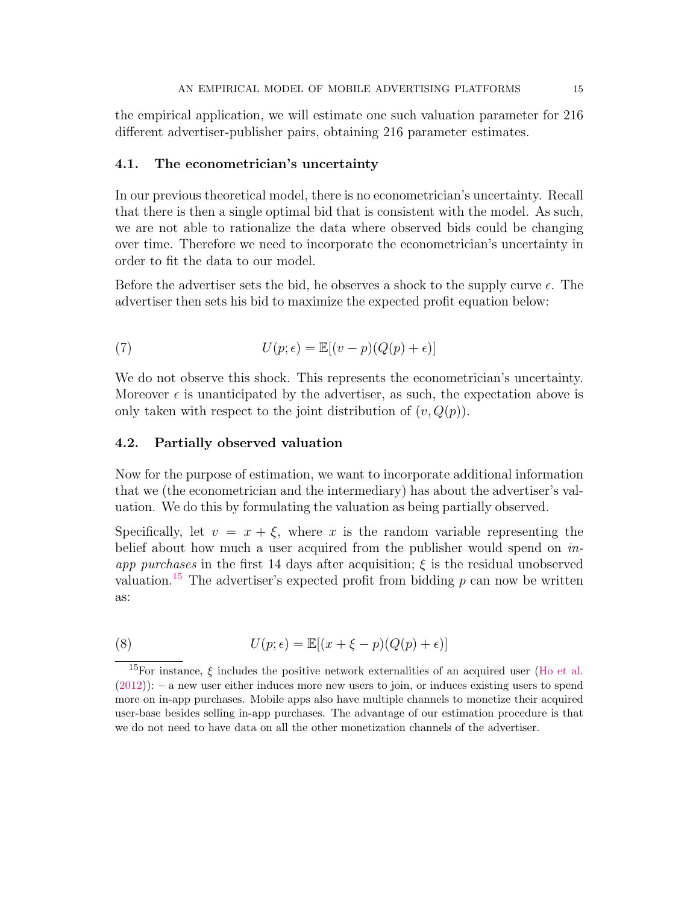the empirical application, we will estimate one such valuation parameter for 216 different advertiser-publisher pairs, obtaining 216 parameter estimates.

### 4.1. The econometrician's uncertainty

In our previous theoretical model, there is no econometrician's uncertainty. Recall that there is then a single optimal bid that is consistent with the model. As such, we are not able to rationalize the data where observed bids could be changing over time. Therefore we need to incorporate the econometrician's uncertainty in order to fit the data to our model.

Before the advertiser sets the bid, he observes a shock to the supply curve  $\epsilon$ . The advertiser then sets his bid to maximize the expected profit equation below:

(7) 
$$
U(p; \epsilon) = \mathbb{E}[(v - p)(Q(p) + \epsilon)]
$$

We do not observe this shock. This represents the econometrician's uncertainty. Moreover  $\epsilon$  is unanticipated by the advertiser, as such, the expectation above is only taken with respect to the joint distribution of  $(v, Q(p))$ .

### 4.2. Partially observed valuation

Now for the purpose of estimation, we want to incorporate additional information that we (the econometrician and the intermediary) has about the advertiser's valuation. We do this by formulating the valuation as being partially observed.

Specifically, let  $v = x + \xi$ , where x is the random variable representing the belief about how much a user acquired from the publisher would spend on inapp purchases in the first 14 days after acquisition;  $\xi$  is the residual unobserved valuation.<sup>[15](#page-14-0)</sup> The advertiser's expected profit from bidding  $p$  can now be written as:

(8) 
$$
U(p; \epsilon) = \mathbb{E}[(x + \xi - p)(Q(p) + \epsilon)]
$$

<span id="page-14-0"></span><sup>&</sup>lt;sup>15</sup>For instance,  $\xi$  includes the positive network externalities of an acquired user [\(Ho et al.](#page-43-13)  $(2012))$  $(2012))$ : – a new user either induces more new users to join, or induces existing users to spend more on in-app purchases. Mobile apps also have multiple channels to monetize their acquired user-base besides selling in-app purchases. The advantage of our estimation procedure is that we do not need to have data on all the other monetization channels of the advertiser.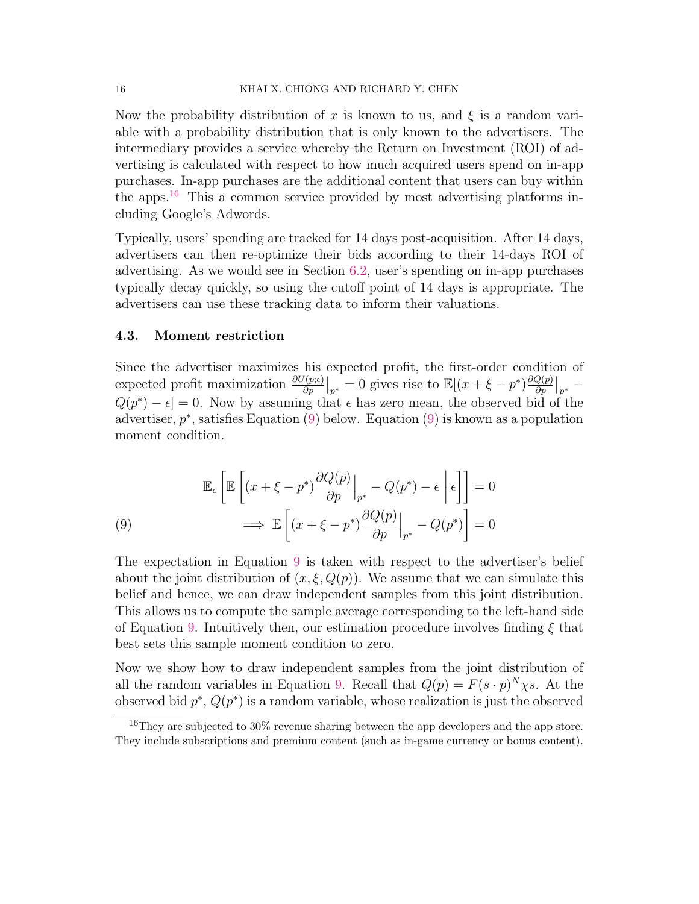Now the probability distribution of x is known to us, and  $\xi$  is a random variable with a probability distribution that is only known to the advertisers. The intermediary provides a service whereby the Return on Investment (ROI) of advertising is calculated with respect to how much acquired users spend on in-app purchases. In-app purchases are the additional content that users can buy within the apps.<sup>[16](#page-15-0)</sup> This a common service provided by most advertising platforms including Google's Adwords.

Typically, users' spending are tracked for 14 days post-acquisition. After 14 days, advertisers can then re-optimize their bids according to their 14-days ROI of advertising. As we would see in Section [6.2,](#page-23-0) user's spending on in-app purchases typically decay quickly, so using the cutoff point of 14 days is appropriate. The advertisers can use these tracking data to inform their valuations.

#### <span id="page-15-2"></span>4.3. Moment restriction

Since the advertiser maximizes his expected profit, the first-order condition of expected profit maximization  $\frac{\partial U(p;\epsilon)}{\partial p}\big|_{p^*} = 0$  gives rise to  $\mathbb{E}[(x+\xi-p^*)\frac{\partial Q(p)}{\partial p}]$  $\frac{Q(p)}{\partial p}\big|_{p^*} =$  $Q(p^*) - \epsilon$  = 0. Now by assuming that  $\epsilon$  has zero mean, the observed bid of the advertiser,  $p^*$ , satisfies Equation [\(9\)](#page-15-1) below. Equation (9) is known as a population moment condition.

<span id="page-15-1"></span>(9)  
\n
$$
\mathbb{E}_{\epsilon} \left[ \mathbb{E} \left[ (x + \xi - p^*) \frac{\partial Q(p)}{\partial p} \Big|_{p^*} - Q(p^*) - \epsilon \right] \epsilon \right] \right] = 0
$$
\n
$$
\implies \mathbb{E} \left[ (x + \xi - p^*) \frac{\partial Q(p)}{\partial p} \Big|_{p^*} - Q(p^*) \right] = 0
$$

The expectation in Equation [9](#page-15-1) is taken with respect to the advertiser's belief about the joint distribution of  $(x, \xi, Q(p))$ . We assume that we can simulate this belief and hence, we can draw independent samples from this joint distribution. This allows us to compute the sample average corresponding to the left-hand side of Equation [9.](#page-15-1) Intuitively then, our estimation procedure involves finding  $\xi$  that best sets this sample moment condition to zero.

Now we show how to draw independent samples from the joint distribution of all the random variables in Equation [9.](#page-15-1) Recall that  $Q(p) = F(s \cdot p)^N \chi s$ . At the observed bid  $p^*$ ,  $Q(p^*)$  is a random variable, whose realization is just the observed

<span id="page-15-0"></span><sup>16</sup>They are subjected to 30% revenue sharing between the app developers and the app store. They include subscriptions and premium content (such as in-game currency or bonus content).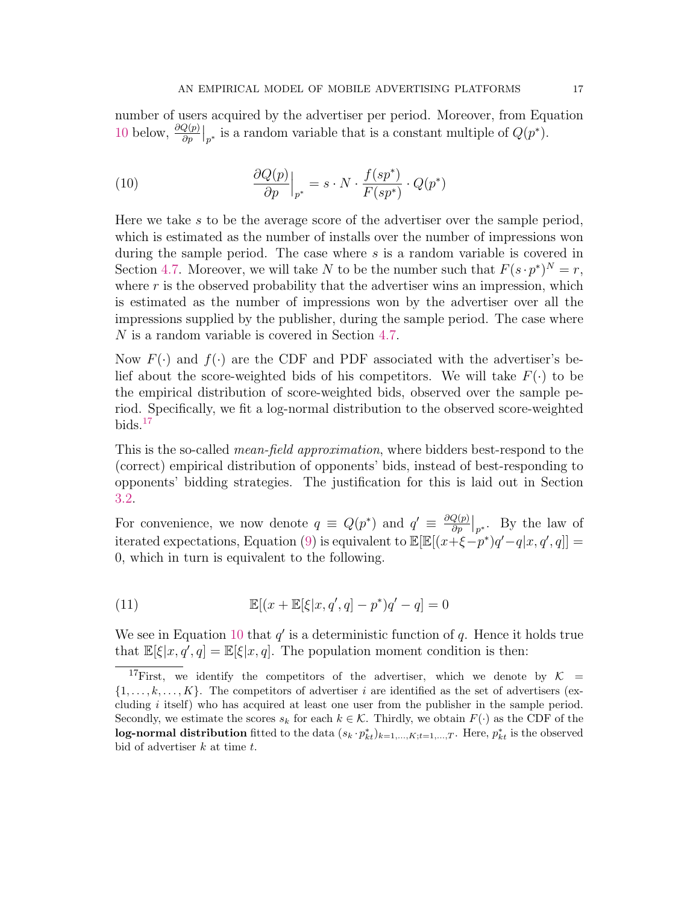number of users acquired by the advertiser per period. Moreover, from Equation [10](#page-16-0) below,  $\frac{\partial Q(p)}{\partial p}\Big|_{p^*}$  is a random variable that is a constant multiple of  $Q(p^*)$ .

<span id="page-16-0"></span>(10) 
$$
\frac{\partial Q(p)}{\partial p}\Big|_{p^*} = s \cdot N \cdot \frac{f(sp^*)}{F(sp^*)} \cdot Q(p^*)
$$

Here we take s to be the average score of the advertiser over the sample period, which is estimated as the number of installs over the number of impressions won during the sample period. The case where s is a random variable is covered in Section [4.7.](#page-19-0) Moreover, we will take N to be the number such that  $F(s \cdot p^*)^N = r$ , where  $r$  is the observed probability that the advertiser wins an impression, which is estimated as the number of impressions won by the advertiser over all the impressions supplied by the publisher, during the sample period. The case where N is a random variable is covered in Section [4.7.](#page-19-0)

Now  $F(\cdot)$  and  $f(\cdot)$  are the CDF and PDF associated with the advertiser's belief about the score-weighted bids of his competitors. We will take  $F(\cdot)$  to be the empirical distribution of score-weighted bids, observed over the sample period. Specifically, we fit a log-normal distribution to the observed score-weighted  $bids.<sup>17</sup>$  $bids.<sup>17</sup>$  $bids.<sup>17</sup>$ 

This is the so-called *mean-field approximation*, where bidders best-respond to the (correct) empirical distribution of opponents' bids, instead of best-responding to opponents' bidding strategies. The justification for this is laid out in Section [3.2.](#page-13-0)

For convenience, we now denote  $q \equiv Q(p^*)$  and  $q' \equiv \frac{\partial Q(p)}{\partial p}$  $\frac{Q(p)}{\partial p}\Big|_{p^*}$ . By the law of iterated expectations, Equation [\(9\)](#page-15-1) is equivalent to  $\mathbb{E}[\mathbb{E}[(x+\xi-p^*)q'-q|x,q',q]] =$ 0, which in turn is equivalent to the following.

(11) 
$$
\mathbb{E}[(x + \mathbb{E}[\xi|x, q', q] - p^*)q' - q] = 0
$$

We see in Equation [10](#page-16-0) that  $q'$  is a deterministic function of  $q$ . Hence it holds true that  $\mathbb{E}[\xi|x, q', q] = \mathbb{E}[\xi|x, q]$ . The population moment condition is then:

<span id="page-16-1"></span><sup>&</sup>lt;sup>17</sup>First, we identify the competitors of the advertiser, which we denote by  $K =$  $\{1, \ldots, k, \ldots, K\}$ . The competitors of advertiser i are identified as the set of advertisers (excluding i itself) who has acquired at least one user from the publisher in the sample period. Secondly, we estimate the scores  $s_k$  for each  $k \in \mathcal{K}$ . Thirdly, we obtain  $F(\cdot)$  as the CDF of the log-normal distribution fitted to the data  $(s_k \cdot p_{kt}^*)_{k=1,\dots,K;t=1,\dots,T}$ . Here,  $p_{kt}^*$  is the observed bid of advertiser  $k$  at time  $t$ .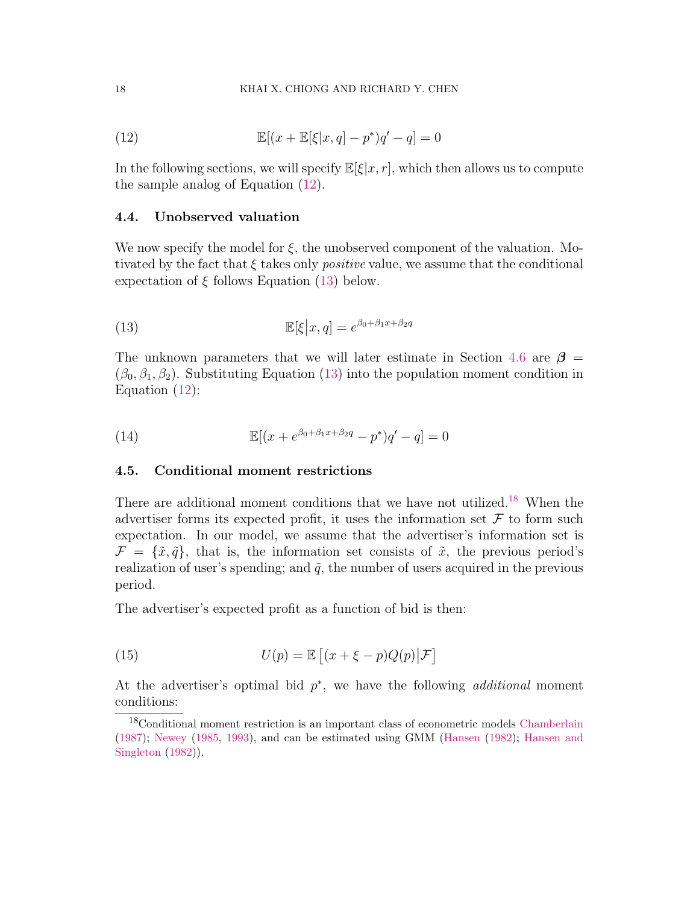<span id="page-17-0"></span>(12) 
$$
\mathbb{E}[(x + \mathbb{E}[\xi|x, q] - p^*)q' - q] = 0
$$

In the following sections, we will specify  $\mathbb{E}[\xi|x, r]$ , which then allows us to compute the sample analog of Equation [\(12\)](#page-17-0).

### 4.4. Unobserved valuation

We now specify the model for  $\xi$ , the unobserved component of the valuation. Motivated by the fact that  $\xi$  takes only *positive* value, we assume that the conditional expectation of  $\xi$  follows Equation [\(13\)](#page-17-1) below.

<span id="page-17-1"></span>(13) 
$$
\mathbb{E}[\xi|x,q] = e^{\beta_0 + \beta_1 x + \beta_2 q}
$$

The unknown parameters that we will later estimate in Section [4.6](#page-18-0) are  $\beta$  =  $(\beta_0, \beta_1, \beta_2)$ . Substituting Equation [\(13\)](#page-17-1) into the population moment condition in Equation [\(12\)](#page-17-0):

<span id="page-17-3"></span>(14) 
$$
\mathbb{E}[(x + e^{\beta_0 + \beta_1 x + \beta_2 q} - p^*)q' - q] = 0
$$

# 4.5. Conditional moment restrictions

There are additional moment conditions that we have not utilized.[18](#page-17-2) When the advertiser forms its expected profit, it uses the information set  $\mathcal F$  to form such expectation. In our model, we assume that the advertiser's information set is  $\mathcal{F} = {\{\tilde{x}, \tilde{q}\}}$ , that is, the information set consists of  $\tilde{x}$ , the previous period's realization of user's spending; and  $\tilde{q}$ , the number of users acquired in the previous period.

The advertiser's expected profit as a function of bid is then:

(15) 
$$
U(p) = \mathbb{E}\left[ (x + \xi - p)Q(p) | \mathcal{F} \right]
$$

At the advertiser's optimal bid  $p^*$ , we have the following *additional* moment conditions:

<span id="page-17-2"></span><sup>18</sup>Conditional moment restriction is an important class of econometric models [Chamberlain](#page-42-13) [\(1987\)](#page-42-13); [Newey](#page-44-12) [\(1985,](#page-44-12) [1993\)](#page-44-13), and can be estimated using GMM [\(Hansen](#page-43-14) [\(1982\)](#page-43-14); [Hansen and](#page-43-15) [Singleton](#page-43-15) [\(1982\)](#page-43-15)).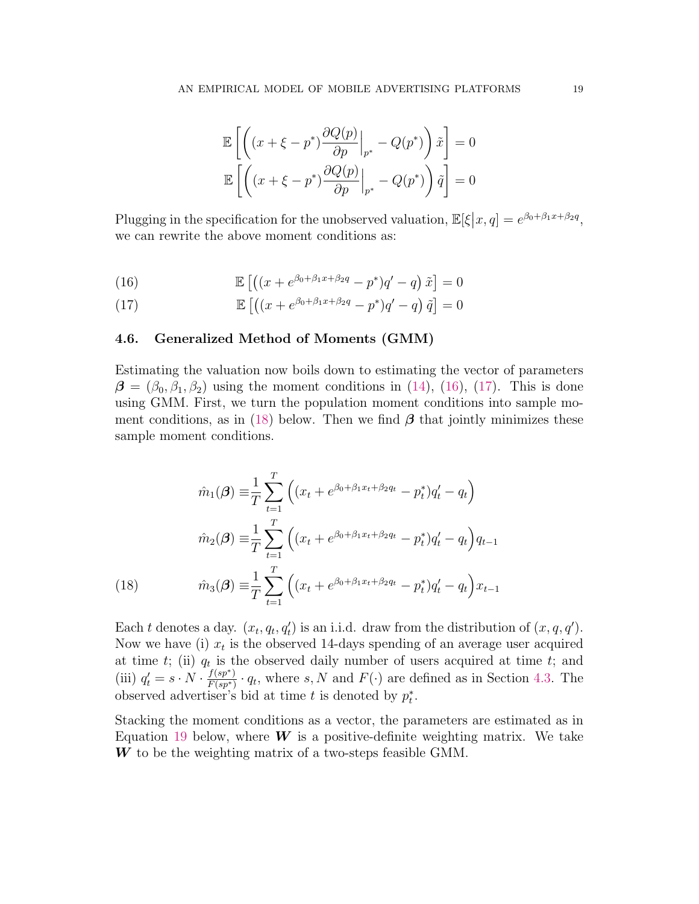$$
\mathbb{E}\left[\left((x+\xi-p^*)\frac{\partial Q(p)}{\partial p}\Big|_{p^*} - Q(p^*)\right)\tilde{x}\right] = 0
$$
  

$$
\mathbb{E}\left[\left((x+\xi-p^*)\frac{\partial Q(p)}{\partial p}\Big|_{p^*} - Q(p^*)\right)\tilde{q}\right] = 0
$$

Plugging in the specification for the unobserved valuation,  $\mathbb{E}[\xi|x, q] = e^{\beta_0 + \beta_1 x + \beta_2 q}$ , we can rewrite the above moment conditions as:

<span id="page-18-1"></span>(16) 
$$
\mathbb{E}\left[\left((x+e^{\beta_0+\beta_1x+\beta_2q}-p^*)q'-q\right)\tilde{x}\right]=0
$$

<span id="page-18-2"></span>(17) 
$$
\mathbb{E}\left[\left((x+e^{\beta_0+\beta_1x+\beta_2q}-p^*)q'-q\right)\tilde{q}\right]=0
$$

## <span id="page-18-0"></span>4.6. Generalized Method of Moments (GMM)

Estimating the valuation now boils down to estimating the vector of parameters  $\beta = (\beta_0, \beta_1, \beta_2)$  using the moment conditions in [\(14\)](#page-17-3), [\(16\)](#page-18-1), [\(17\)](#page-18-2). This is done using GMM. First, we turn the population moment conditions into sample mo-ment conditions, as in [\(18\)](#page-18-3) below. Then we find  $\beta$  that jointly minimizes these sample moment conditions.

$$
\hat{m}_1(\boldsymbol{\beta}) \equiv \frac{1}{T} \sum_{t=1}^T \left( (x_t + e^{\beta_0 + \beta_1 x_t + \beta_2 q_t} - p_t^*) q_t' - q_t \right)
$$

$$
\hat{m}_2(\boldsymbol{\beta}) \equiv \frac{1}{T} \sum_{t=1}^T \left( (x_t + e^{\beta_0 + \beta_1 x_t + \beta_2 q_t} - p_t^*) q_t' - q_t \right) q_{t-1}
$$

$$
\hat{m}_3(\boldsymbol{\beta}) \equiv \frac{1}{T} \sum_{t=1}^T \left( (x_t + e^{\beta_0 + \beta_1 x_t + \beta_2 q_t} - p_t^*) q_t' - q_t \right) x_{t-1}
$$

<span id="page-18-3"></span>Each t denotes a day.  $(x_t, q_t, q'_t)$  is an i.i.d. draw from the distribution of  $(x, q, q')$ . Now we have (i)  $x_t$  is the observed 14-days spending of an average user acquired at time  $t$ ; (ii)  $q_t$  is the observed daily number of users acquired at time  $t$ ; and (iii)  $q'_t = s \cdot N \cdot \frac{f(sp^*)}{F(sp^*)}$  $\frac{f(sp^*)}{F(sp^*)} \cdot q_t$ , where s, N and  $F(\cdot)$  are defined as in Section [4.3.](#page-15-2) The observed advertiser's bid at time t is denoted by  $p_t^*$ .

Stacking the moment conditions as a vector, the parameters are estimated as in Equation [19](#page-19-1) below, where  $\boldsymbol{W}$  is a positive-definite weighting matrix. We take  $W$  to be the weighting matrix of a two-steps feasible GMM.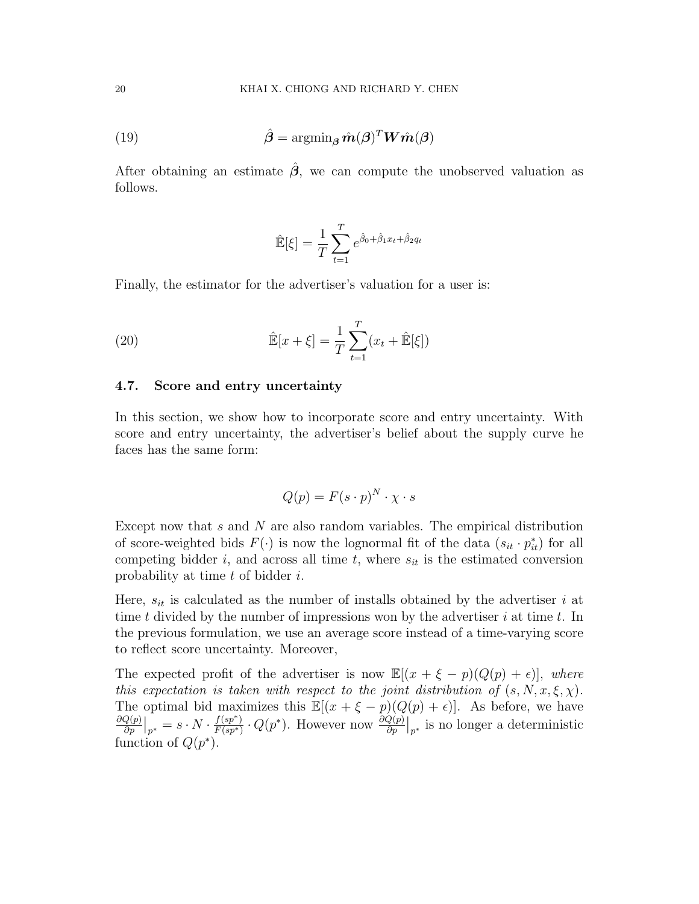<span id="page-19-1"></span>(19) 
$$
\hat{\boldsymbol{\beta}} = \operatorname{argmin}_{\boldsymbol{\beta}} \hat{\boldsymbol{m}}(\boldsymbol{\beta})^T \boldsymbol{W} \hat{\boldsymbol{m}}(\boldsymbol{\beta})
$$

After obtaining an estimate  $\hat{\beta}$ , we can compute the unobserved valuation as follows.

$$
\hat{\mathbb{E}}[\xi] = \frac{1}{T} \sum_{t=1}^{T} e^{\hat{\beta}_0 + \hat{\beta}_1 x_t + \hat{\beta}_2 q_t}
$$

Finally, the estimator for the advertiser's valuation for a user is:

(20) 
$$
\hat{\mathbb{E}}[x+\xi] = \frac{1}{T} \sum_{t=1}^{T} (x_t + \hat{\mathbb{E}}[\xi])
$$

### <span id="page-19-0"></span>4.7. Score and entry uncertainty

In this section, we show how to incorporate score and entry uncertainty. With score and entry uncertainty, the advertiser's belief about the supply curve he faces has the same form:

$$
Q(p) = F(s \cdot p)^N \cdot \chi \cdot s
$$

Except now that s and N are also random variables. The empirical distribution of score-weighted bids  $F(\cdot)$  is now the lognormal fit of the data  $(s_{it} \cdot p_{it}^*)$  for all competing bidder i, and across all time t, where  $s_{it}$  is the estimated conversion probability at time  $t$  of bidder  $i$ .

Here,  $s_{it}$  is calculated as the number of installs obtained by the advertiser i at time t divided by the number of impressions won by the advertiser  $i$  at time t. In the previous formulation, we use an average score instead of a time-varying score to reflect score uncertainty. Moreover,

The expected profit of the advertiser is now  $\mathbb{E}[(x + \xi - p)(Q(p) + \epsilon)],$  where this expectation is taken with respect to the joint distribution of  $(s, N, x, \xi, \chi)$ . The optimal bid maximizes this  $\mathbb{E}[(x + \xi - p)(Q(p) + \epsilon)].$  As before, we have  $\partial Q(p)$  $\frac{Q(p)}{\partial p}\big|_{p^*}=s\cdot N\cdot\frac{f(sp^*)}{F(sp^*)}$  $\frac{f(sp^*)}{F(sp^*)} \cdot Q(p^*)$ . However now  $\frac{\partial Q(p)}{\partial p}\big|_{p^*}$  is no longer a deterministic function of  $Q(p^*)$ .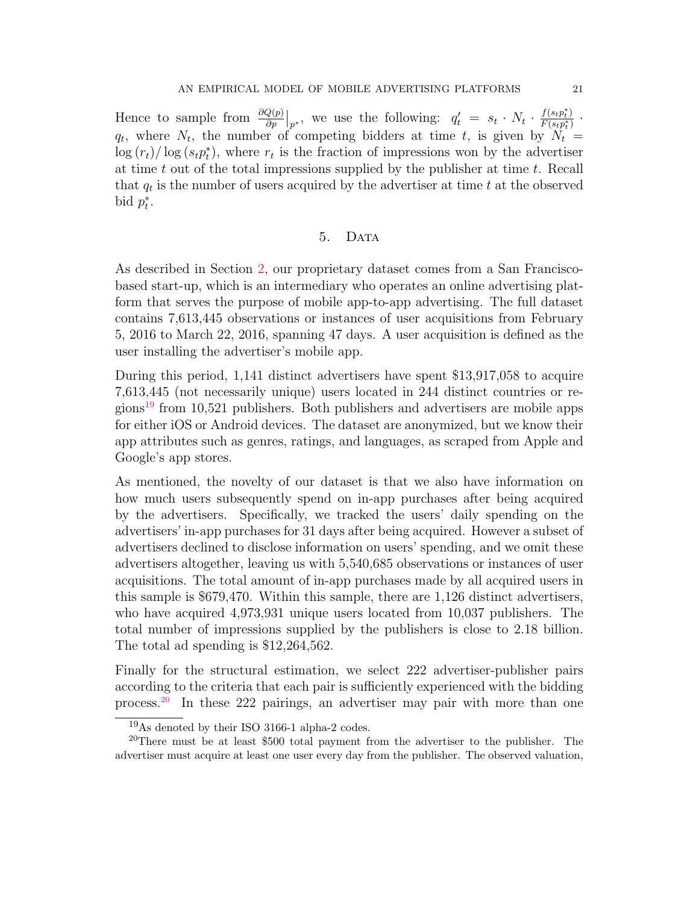Hence to sample from  $\frac{\partial Q(p)}{\partial p}\Big|_{p^*}$ , we use the following:  $q'_t = s_t \cdot N_t \cdot \frac{f(s_t p_t^*)}{F(s_t p_t^*)}$  $\frac{J(s_t p_t)}{F(s_t p_t^*)}$  .  $q_t$ , where  $N_t$ , the number of competing bidders at time t, is given by  $N_t =$  $\log(r_t)/\log(s_t p_t^*)$ , where  $r_t$  is the fraction of impressions won by the advertiser at time  $t$  out of the total impressions supplied by the publisher at time  $t$ . Recall that  $q_t$  is the number of users acquired by the advertiser at time t at the observed bid  $p_t^*$ .

## 5. DATA

<span id="page-20-2"></span>As described in Section [2,](#page-6-3) our proprietary dataset comes from a San Franciscobased start-up, which is an intermediary who operates an online advertising platform that serves the purpose of mobile app-to-app advertising. The full dataset contains 7,613,445 observations or instances of user acquisitions from February 5, 2016 to March 22, 2016, spanning 47 days. A user acquisition is defined as the user installing the advertiser's mobile app.

During this period, 1,141 distinct advertisers have spent \$13,917,058 to acquire 7,613,445 (not necessarily unique) users located in 244 distinct countries or re-gions<sup>[19](#page-20-0)</sup> from 10,521 publishers. Both publishers and advertisers are mobile apps for either iOS or Android devices. The dataset are anonymized, but we know their app attributes such as genres, ratings, and languages, as scraped from Apple and Google's app stores.

As mentioned, the novelty of our dataset is that we also have information on how much users subsequently spend on in-app purchases after being acquired by the advertisers. Specifically, we tracked the users' daily spending on the advertisers' in-app purchases for 31 days after being acquired. However a subset of advertisers declined to disclose information on users' spending, and we omit these advertisers altogether, leaving us with 5,540,685 observations or instances of user acquisitions. The total amount of in-app purchases made by all acquired users in this sample is \$679,470. Within this sample, there are 1,126 distinct advertisers, who have acquired 4,973,931 unique users located from 10,037 publishers. The total number of impressions supplied by the publishers is close to 2.18 billion. The total ad spending is \$12,264,562.

Finally for the structural estimation, we select 222 advertiser-publisher pairs according to the criteria that each pair is sufficiently experienced with the bidding process.[20](#page-20-1) In these 222 pairings, an advertiser may pair with more than one

<span id="page-20-1"></span><span id="page-20-0"></span><sup>19</sup>As denoted by their ISO 3166-1 alpha-2 codes.

<sup>20</sup>There must be at least \$500 total payment from the advertiser to the publisher. The advertiser must acquire at least one user every day from the publisher. The observed valuation,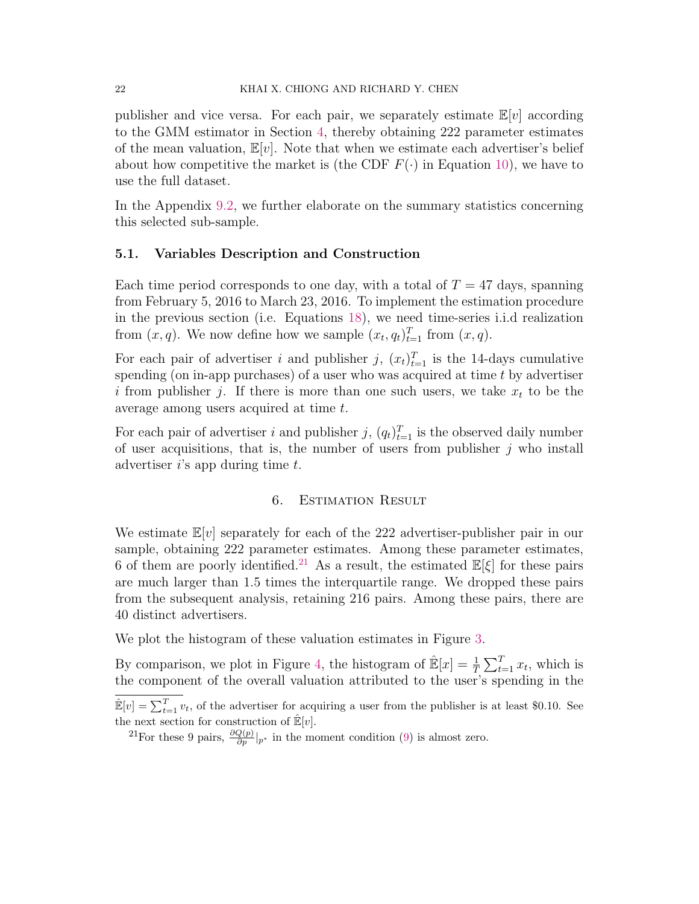publisher and vice versa. For each pair, we separately estimate  $\mathbb{E}[v]$  according to the GMM estimator in Section [4,](#page-13-1) thereby obtaining 222 parameter estimates of the mean valuation,  $\mathbb{E}[v]$ . Note that when we estimate each advertiser's belief about how competitive the market is (the CDF  $F(\cdot)$  in Equation [10\)](#page-16-0), we have to use the full dataset.

In the Appendix [9.2,](#page-39-0) we further elaborate on the summary statistics concerning this selected sub-sample.

#### 5.1. Variables Description and Construction

Each time period corresponds to one day, with a total of  $T = 47$  days, spanning from February 5, 2016 to March 23, 2016. To implement the estimation procedure in the previous section (i.e. Equations [18\)](#page-18-3), we need time-series i.i.d realization from  $(x, q)$ . We now define how we sample  $(x_t, q_t)_{t=1}^T$  from  $(x, q)$ .

For each pair of advertiser i and publisher j,  $(x_t)_{t=1}^T$  is the 14-days cumulative spending (on in-app purchases) of a user who was acquired at time  $t$  by advertiser i from publisher j. If there is more than one such users, we take  $x_t$  to be the average among users acquired at time t.

For each pair of advertiser i and publisher j,  $(q_t)_{t=1}^T$  is the observed daily number of user acquisitions, that is, the number of users from publisher  $j$  who install advertiser  $i$ 's app during time  $t$ .

### 6. Estimation Result

We estimate  $\mathbb{E}[v]$  separately for each of the 222 advertiser-publisher pair in our sample, obtaining 222 parameter estimates. Among these parameter estimates, 6 of them are poorly identified.<sup>[21](#page-21-0)</sup> As a result, the estimated  $\mathbb{E}[\xi]$  for these pairs are much larger than 1.5 times the interquartile range. We dropped these pairs from the subsequent analysis, retaining 216 pairs. Among these pairs, there are 40 distinct advertisers.

We plot the histogram of these valuation estimates in Figure [3.](#page-22-0)

By comparison, we plot in Figure [4,](#page-22-1) the histogram of  $\mathbb{E}[x] = \frac{1}{T} \sum_{t=1}^{T} x_t$ , which is the component of the overall valuation attributed to the user's spending in the

 $\mathbb{E}[v] = \sum_{t=1}^{T} v_t$ , of the advertiser for acquiring a user from the publisher is at least \$0.10. See the next section for construction of  $\mathbb{E}[v]$ .

<span id="page-21-0"></span><sup>&</sup>lt;sup>21</sup>For these 9 pairs,  $\frac{\partial Q(p)}{\partial p}|_{p^*}$  in the moment condition [\(9\)](#page-15-1) is almost zero.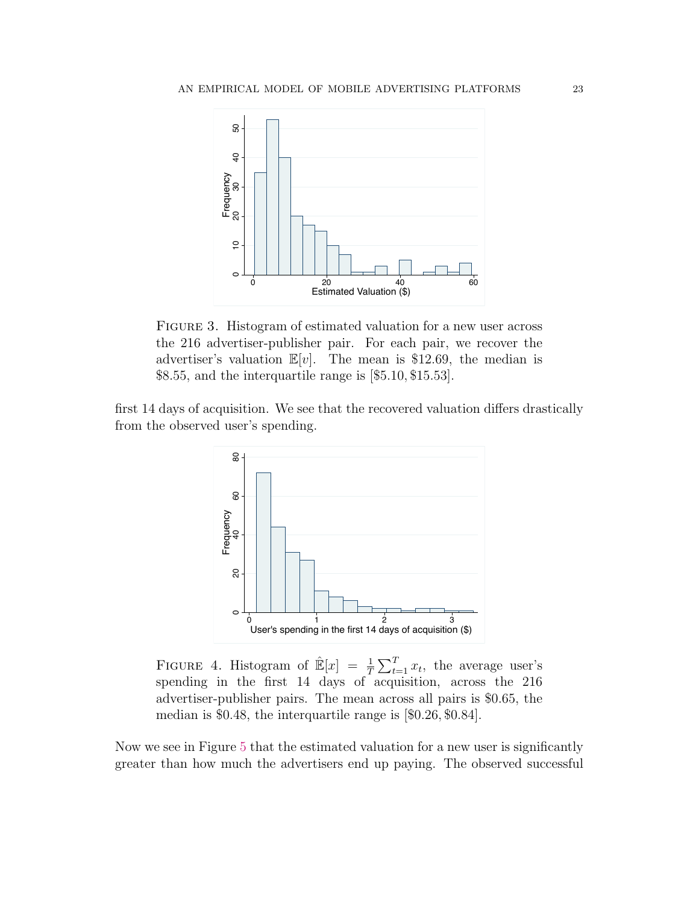<span id="page-22-0"></span>

FIGURE 3. Histogram of estimated valuation for a new user across the 216 advertiser-publisher pair. For each pair, we recover the advertiser's valuation  $\mathbb{E}[v]$ . The mean is \$12.69, the median is \$8.55, and the interquartile range is [\$5.10, \$15.53].

<span id="page-22-1"></span>first 14 days of acquisition. We see that the recovered valuation differs drastically from the observed user's spending.



FIGURE 4. Histogram of  $\mathbb{E}[x] = \frac{1}{T} \sum_{t=1}^{T} x_t$ , the average user's spending in the first 14 days of acquisition, across the 216 advertiser-publisher pairs. The mean across all pairs is \$0.65, the median is \$0.48, the interquartile range is [\$0.26, \$0.84].

Now we see in Figure [5](#page-23-1) that the estimated valuation for a new user is significantly greater than how much the advertisers end up paying. The observed successful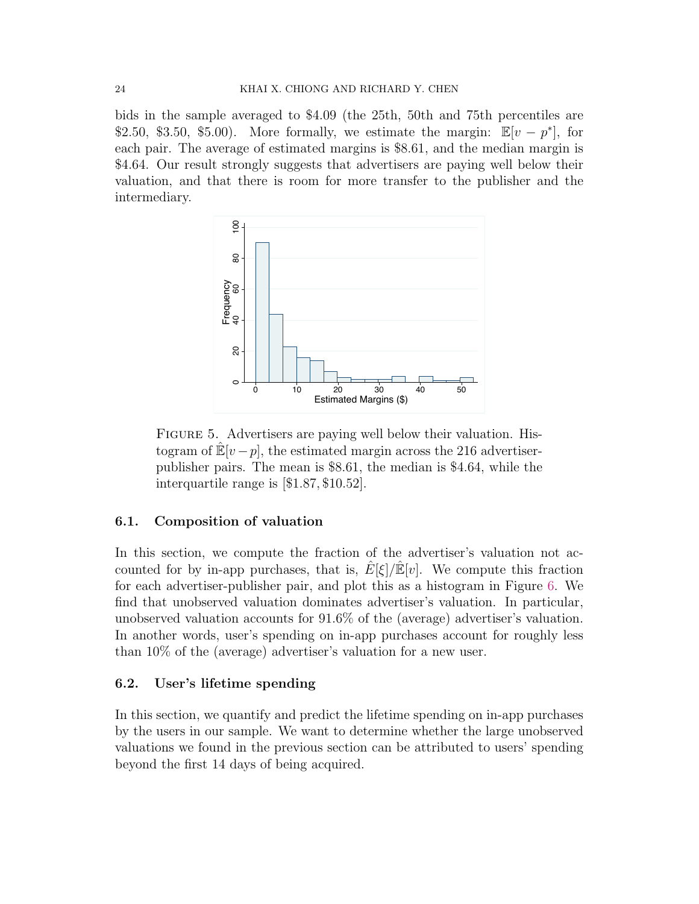bids in the sample averaged to \$4.09 (the 25th, 50th and 75th percentiles are \$2.50, \$3.50, \$5.00). More formally, we estimate the margin:  $\mathbb{E}[v - p^*]$ , for each pair. The average of estimated margins is \$8.61, and the median margin is \$4.64. Our result strongly suggests that advertisers are paying well below their valuation, and that there is room for more transfer to the publisher and the intermediary.

<span id="page-23-1"></span>

FIGURE 5. Advertisers are paying well below their valuation. Histogram of  $\mathbb{E}[v-p]$ , the estimated margin across the 216 advertiserpublisher pairs. The mean is \$8.61, the median is \$4.64, while the interquartile range is [\$1.87, \$10.52].

# 6.1. Composition of valuation

In this section, we compute the fraction of the advertiser's valuation not accounted for by in-app purchases, that is,  $E[\xi]/\mathbb{E}[v]$ . We compute this fraction for each advertiser-publisher pair, and plot this as a histogram in Figure [6.](#page-24-0) We find that unobserved valuation dominates advertiser's valuation. In particular, unobserved valuation accounts for 91.6% of the (average) advertiser's valuation. In another words, user's spending on in-app purchases account for roughly less than 10% of the (average) advertiser's valuation for a new user.

# <span id="page-23-0"></span>6.2. User's lifetime spending

In this section, we quantify and predict the lifetime spending on in-app purchases by the users in our sample. We want to determine whether the large unobserved valuations we found in the previous section can be attributed to users' spending beyond the first 14 days of being acquired.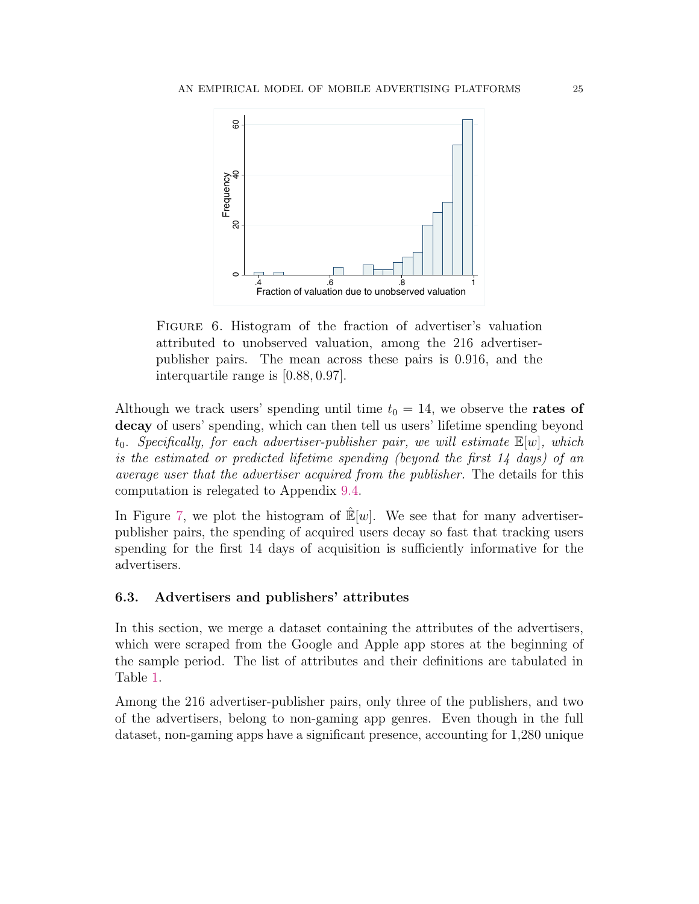<span id="page-24-0"></span>

FIGURE 6. Histogram of the fraction of advertiser's valuation attributed to unobserved valuation, among the 216 advertiserpublisher pairs. The mean across these pairs is 0.916, and the interquartile range is [0.88, 0.97].

Although we track users' spending until time  $t_0 = 14$ , we observe the **rates of** decay of users' spending, which can then tell us users' lifetime spending beyond  $t_0$ . Specifically, for each advertiser-publisher pair, we will estimate  $\mathbb{E}[w]$ , which is the estimated or predicted lifetime spending (beyond the first 14 days) of an average user that the advertiser acquired from the publisher. The details for this computation is relegated to Appendix [9.4.](#page-40-0)

In Figure [7,](#page-25-0) we plot the histogram of  $\mathbb{E}[w]$ . We see that for many advertiserpublisher pairs, the spending of acquired users decay so fast that tracking users spending for the first 14 days of acquisition is sufficiently informative for the advertisers.

# 6.3. Advertisers and publishers' attributes

In this section, we merge a dataset containing the attributes of the advertisers, which were scraped from the Google and Apple app stores at the beginning of the sample period. The list of attributes and their definitions are tabulated in Table [1.](#page-26-0)

Among the 216 advertiser-publisher pairs, only three of the publishers, and two of the advertisers, belong to non-gaming app genres. Even though in the full dataset, non-gaming apps have a significant presence, accounting for 1,280 unique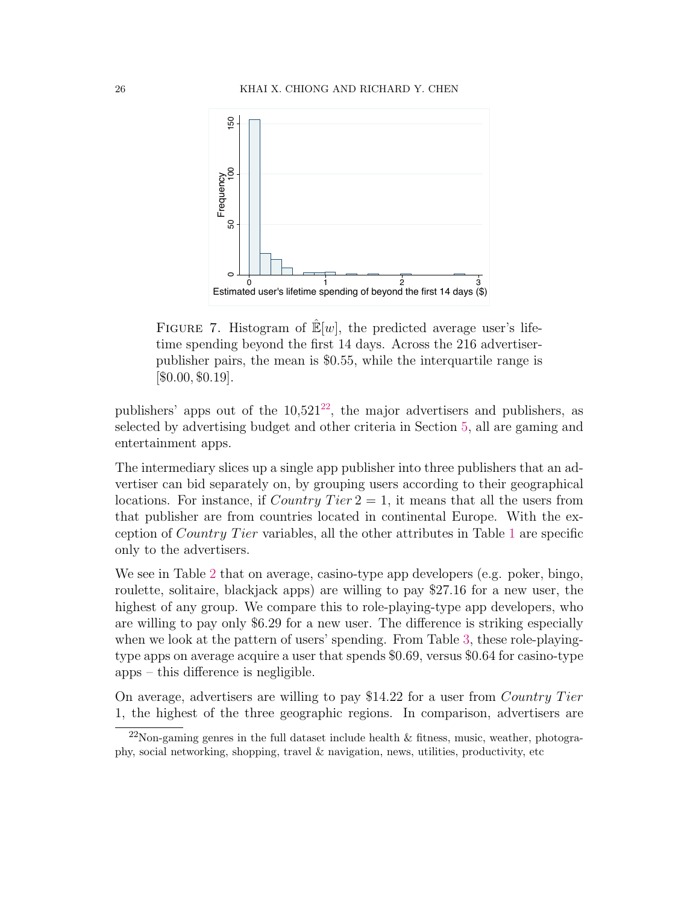<span id="page-25-0"></span>

FIGURE 7. Histogram of  $\mathbb{E}[w]$ , the predicted average user's lifetime spending beyond the first 14 days. Across the 216 advertiserpublisher pairs, the mean is \$0.55, while the interquartile range is  $[$0.00, $0.19]$ .

publishers' apps out of the  $10,521^{22}$  $10,521^{22}$  $10,521^{22}$ , the major advertisers and publishers, as selected by advertising budget and other criteria in Section [5,](#page-20-2) all are gaming and entertainment apps.

The intermediary slices up a single app publisher into three publishers that an advertiser can bid separately on, by grouping users according to their geographical locations. For instance, if Country Tier  $2 = 1$ , it means that all the users from that publisher are from countries located in continental Europe. With the exception of Country T ier variables, all the other attributes in Table [1](#page-26-0) are specific only to the advertisers.

We see in Table [2](#page-26-1) that on average, casino-type app developers (e.g. poker, bingo, roulette, solitaire, blackjack apps) are willing to pay \$27.16 for a new user, the highest of any group. We compare this to role-playing-type app developers, who are willing to pay only \$6.29 for a new user. The difference is striking especially when we look at the pattern of users' spending. From Table [3,](#page-27-0) these role-playingtype apps on average acquire a user that spends \$0.69, versus \$0.64 for casino-type apps – this difference is negligible.

On average, advertisers are willing to pay \$14.22 for a user from *Country Tier* 1, the highest of the three geographic regions. In comparison, advertisers are

<span id="page-25-1"></span> $^{22}$ Non-gaming genres in the full dataset include health & fitness, music, weather, photography, social networking, shopping, travel & navigation, news, utilities, productivity, etc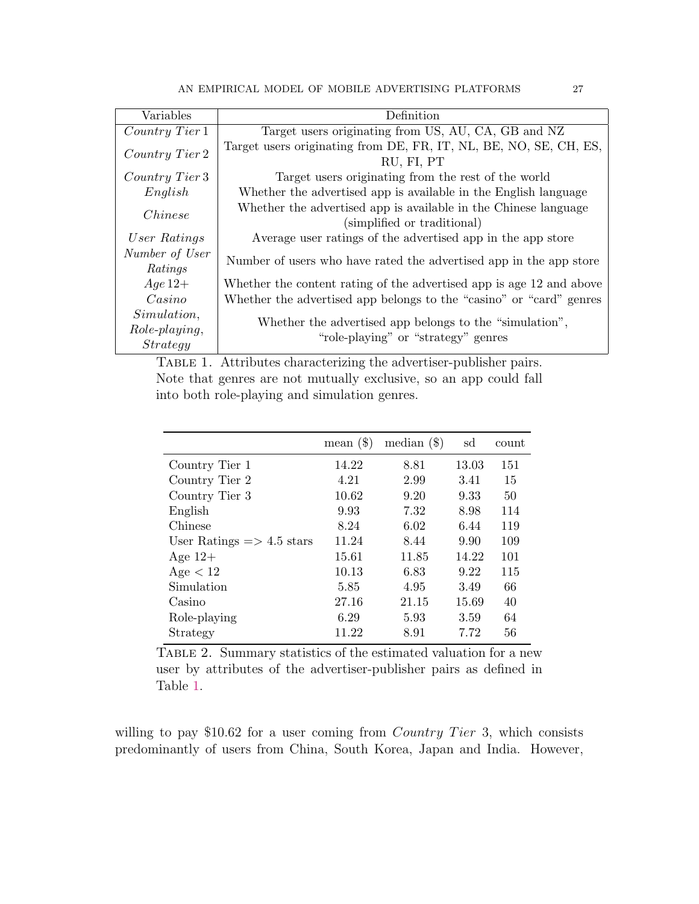<span id="page-26-0"></span>

| Variables                                       | Definition                                                                                     |
|-------------------------------------------------|------------------------------------------------------------------------------------------------|
| Country Tier 1                                  | Target users originating from US, AU, CA, GB and NZ                                            |
| Country Tier 2                                  | Target users originating from DE, FR, IT, NL, BE, NO, SE, CH, ES,<br>RU, FI, PT                |
| Country Tier 3                                  | Target users originating from the rest of the world                                            |
| English                                         | Whether the advertised app is available in the English language                                |
| <i>Chinese</i>                                  | Whether the advertised app is available in the Chinese language<br>(simplified or traditional) |
| User Ratings                                    | Average user ratings of the advertised app in the app store                                    |
| Number of User<br>Ratings                       | Number of users who have rated the advertised app in the app store                             |
| $Age 12+$                                       | Whether the content rating of the advertised app is age 12 and above                           |
| $\sqrt{C}asino$                                 | Whether the advertised app belongs to the "casino" or "card" genres                            |
| Simulation,<br>Role-playing,<br><i>Strategy</i> | Whether the advertised app belongs to the "simulation",<br>"role-playing" or "strategy" genres |

TABLE 1. Attributes characterizing the advertiser-publisher pairs. Note that genres are not mutually exclusive, so an app could fall into both role-playing and simulation genres.

<span id="page-26-1"></span>

|                                      | mean $(\$)$ | median $(\$)$ | sd    | count |
|--------------------------------------|-------------|---------------|-------|-------|
| Country Tier 1                       | 14.22       | 8.81          | 13.03 | 151   |
| Country Tier 2                       | 4.21        | 2.99          | 3.41  | 15    |
| Country Tier 3                       | 10.62       | 9.20          | 9.33  | 50    |
| English                              | 9.93        | 7.32          | 8.98  | 114   |
| Chinese                              | 8.24        | 6.02          | 6.44  | 119   |
| User Ratings $\Rightarrow$ 4.5 stars | 11.24       | 8.44          | 9.90  | 109   |
| Age $12+$                            | 15.61       | 11.85         | 14.22 | 101   |
| Age < 12                             | 10.13       | 6.83          | 9.22  | 115   |
| Simulation                           | 5.85        | 4.95          | 3.49  | 66    |
| Casino                               | 27.16       | 21.15         | 15.69 | 40    |
| Role-playing                         | 6.29        | 5.93          | 3.59  | 64    |
| Strategy                             | 11.22       | 8.91          | 7.72  | 56    |

TABLE 2. Summary statistics of the estimated valuation for a new user by attributes of the advertiser-publisher pairs as defined in Table [1.](#page-26-0)

willing to pay \$10.62 for a user coming from *Country Tier* 3, which consists predominantly of users from China, South Korea, Japan and India. However,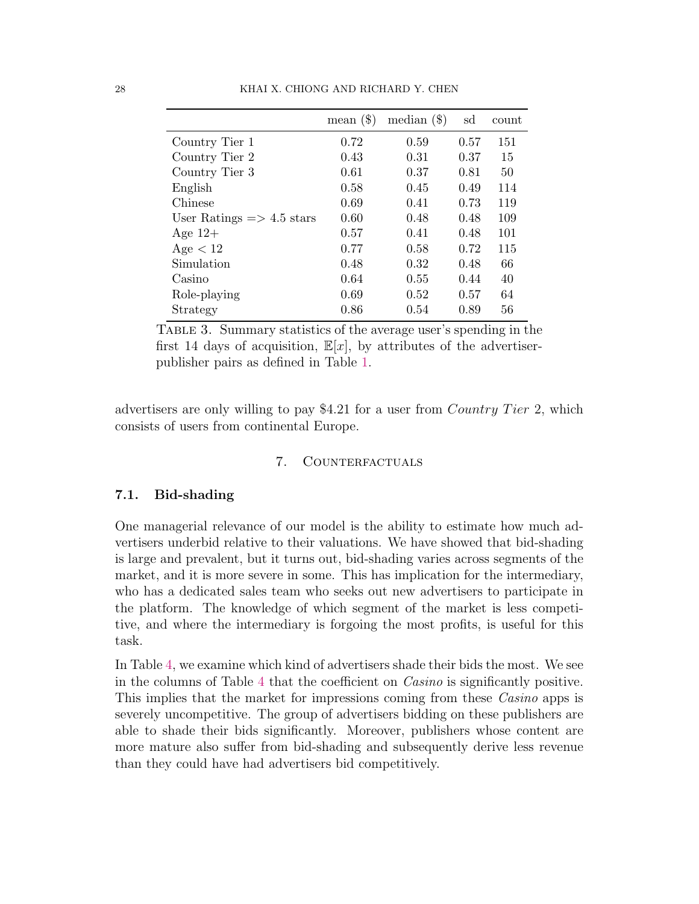<span id="page-27-0"></span>

|                                      | mean $(\$)$ | median $(\$)$ | sd   | count |
|--------------------------------------|-------------|---------------|------|-------|
| Country Tier 1                       | 0.72        | 0.59          | 0.57 | 151   |
| Country Tier 2                       | 0.43        | 0.31          | 0.37 | 15    |
| Country Tier 3                       | 0.61        | 0.37          | 0.81 | 50    |
| English                              | 0.58        | 0.45          | 0.49 | 114   |
| Chinese                              | 0.69        | 0.41          | 0.73 | 119   |
| User Ratings $\Rightarrow$ 4.5 stars | 0.60        | 0.48          | 0.48 | 109   |
| Age $12+$                            | 0.57        | 0.41          | 0.48 | 101   |
| Age < 12                             | 0.77        | 0.58          | 0.72 | 115   |
| Simulation                           | 0.48        | 0.32          | 0.48 | 66    |
| Casino                               | 0.64        | 0.55          | 0.44 | 40    |
| Role-playing                         | 0.69        | 0.52          | 0.57 | 64    |
| Strategy                             | 0.86        | 0.54          | 0.89 | 56    |

Table 3. Summary statistics of the average user's spending in the first 14 days of acquisition,  $\mathbb{E}[x]$ , by attributes of the advertiserpublisher pairs as defined in Table [1.](#page-26-0)

advertisers are only willing to pay \$4.21 for a user from *Country Tier* 2, which consists of users from continental Europe.

## 7. COUNTERFACTUALS

### 7.1. Bid-shading

One managerial relevance of our model is the ability to estimate how much advertisers underbid relative to their valuations. We have showed that bid-shading is large and prevalent, but it turns out, bid-shading varies across segments of the market, and it is more severe in some. This has implication for the intermediary, who has a dedicated sales team who seeks out new advertisers to participate in the platform. The knowledge of which segment of the market is less competitive, and where the intermediary is forgoing the most profits, is useful for this task.

In Table [4,](#page-28-0) we examine which kind of advertisers shade their bids the most. We see in the columns of Table [4](#page-28-0) that the coefficient on Casino is significantly positive. This implies that the market for impressions coming from these Casino apps is severely uncompetitive. The group of advertisers bidding on these publishers are able to shade their bids significantly. Moreover, publishers whose content are more mature also suffer from bid-shading and subsequently derive less revenue than they could have had advertisers bid competitively.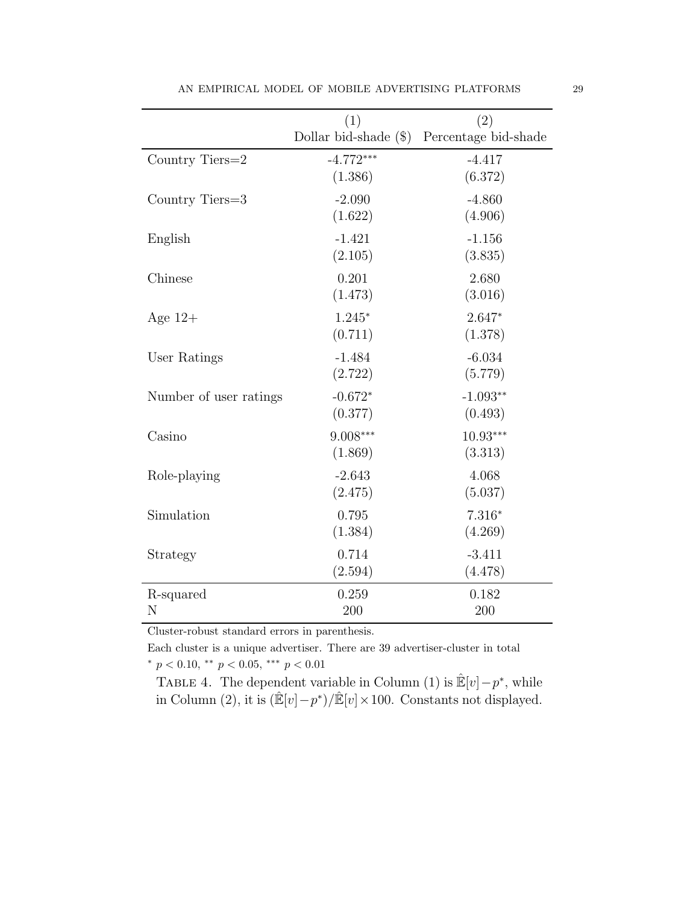<span id="page-28-0"></span>

|                        | (1)                    | (2)                                        |
|------------------------|------------------------|--------------------------------------------|
|                        |                        | Dollar bid-shade (\$) Percentage bid-shade |
| Country Tiers=2        | $-4.772***$<br>(1.386) | $-4.417$<br>(6.372)                        |
| Country Tiers=3        | $-2.090$<br>(1.622)    | $-4.860$<br>(4.906)                        |
| English                | $-1.421$<br>(2.105)    | $-1.156$<br>(3.835)                        |
| Chinese                | 0.201<br>(1.473)       | 2.680<br>(3.016)                           |
| Age $12+$              | $1.245*$<br>(0.711)    | $2.647*$<br>(1.378)                        |
| User Ratings           | $-1.484$<br>(2.722)    | $-6.034$<br>(5.779)                        |
| Number of user ratings | $-0.672*$<br>(0.377)   | $-1.093**$<br>(0.493)                      |
| Casino                 | $9.008***$<br>(1.869)  | $10.93***$<br>(3.313)                      |
| Role-playing           | $-2.643$<br>(2.475)    | 4.068<br>(5.037)                           |
| Simulation             | 0.795<br>(1.384)       | $7.316*$<br>(4.269)                        |
| Strategy               | 0.714<br>(2.594)       | $-3.411$<br>(4.478)                        |
| R-squared<br>N         | 0.259<br>200           | 0.182<br>200                               |

AN EMPIRICAL MODEL OF MOBILE ADVERTISING PLATFORMS  $\hspace{2.5mm} 29$ 

Cluster-robust standard errors in parenthesis.

Each cluster is a unique advertiser. There are 39 advertiser-cluster in total \*  $p < 0.10$ , \*\*  $p < 0.05$ , \*\*\*  $p < 0.01$ 

TABLE 4. The dependent variable in Column (1) is  $\mathbb{E}[v] - p^*$ , while in Column (2), it is  $(\mathbb{E}[v] - p^*) / \mathbb{E}[v] \times 100$ . Constants not displayed.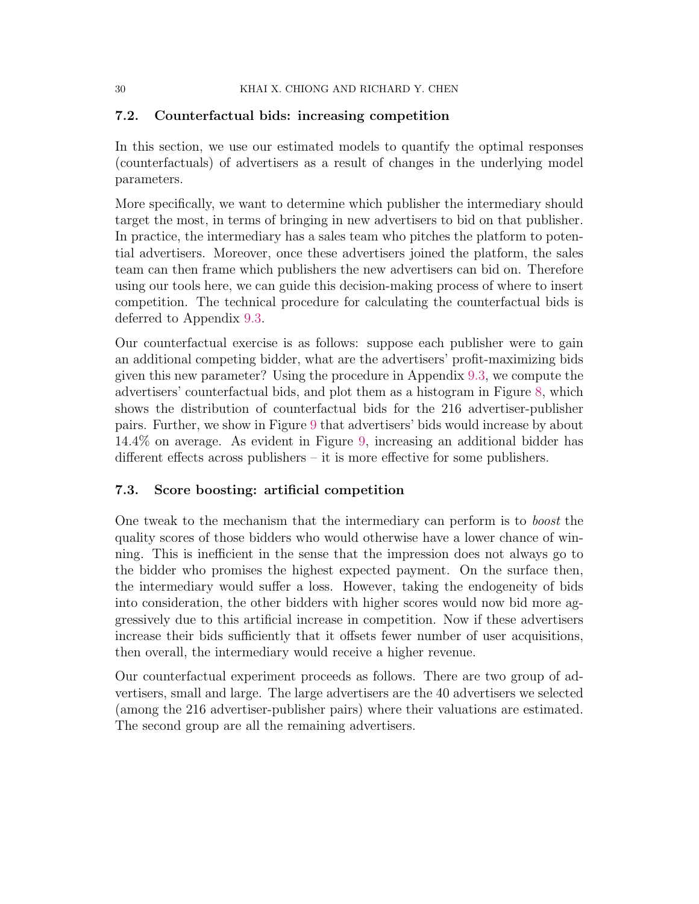# 7.2. Counterfactual bids: increasing competition

In this section, we use our estimated models to quantify the optimal responses (counterfactuals) of advertisers as a result of changes in the underlying model parameters.

More specifically, we want to determine which publisher the intermediary should target the most, in terms of bringing in new advertisers to bid on that publisher. In practice, the intermediary has a sales team who pitches the platform to potential advertisers. Moreover, once these advertisers joined the platform, the sales team can then frame which publishers the new advertisers can bid on. Therefore using our tools here, we can guide this decision-making process of where to insert competition. The technical procedure for calculating the counterfactual bids is deferred to Appendix [9.3.](#page-39-1)

Our counterfactual exercise is as follows: suppose each publisher were to gain an additional competing bidder, what are the advertisers' profit-maximizing bids given this new parameter? Using the procedure in Appendix [9.3,](#page-39-1) we compute the advertisers' counterfactual bids, and plot them as a histogram in Figure [8,](#page-30-0) which shows the distribution of counterfactual bids for the 216 advertiser-publisher pairs. Further, we show in Figure [9](#page-30-1) that advertisers' bids would increase by about 14.4% on average. As evident in Figure [9,](#page-30-1) increasing an additional bidder has different effects across publishers – it is more effective for some publishers.

# 7.3. Score boosting: artificial competition

One tweak to the mechanism that the intermediary can perform is to boost the quality scores of those bidders who would otherwise have a lower chance of winning. This is inefficient in the sense that the impression does not always go to the bidder who promises the highest expected payment. On the surface then, the intermediary would suffer a loss. However, taking the endogeneity of bids into consideration, the other bidders with higher scores would now bid more aggressively due to this artificial increase in competition. Now if these advertisers increase their bids sufficiently that it offsets fewer number of user acquisitions, then overall, the intermediary would receive a higher revenue.

Our counterfactual experiment proceeds as follows. There are two group of advertisers, small and large. The large advertisers are the 40 advertisers we selected (among the 216 advertiser-publisher pairs) where their valuations are estimated. The second group are all the remaining advertisers.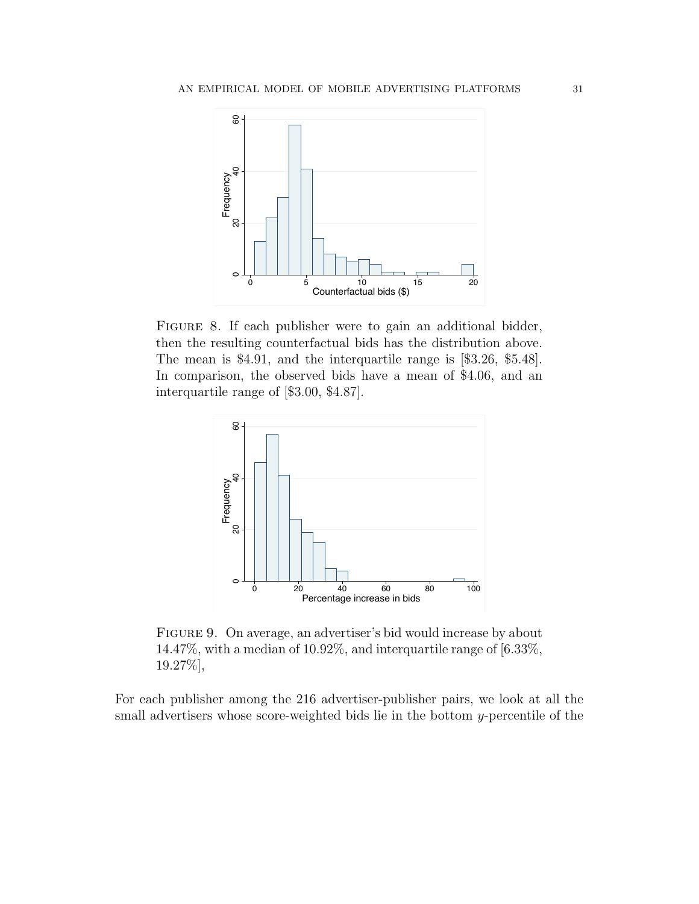<span id="page-30-0"></span>

FIGURE 8. If each publisher were to gain an additional bidder, then the resulting counterfactual bids has the distribution above. The mean is \$4.91, and the interquartile range is [\$3.26, \$5.48]. In comparison, the observed bids have a mean of \$4.06, and an interquartile range of [\$3.00, \$4.87].

<span id="page-30-1"></span>

Figure 9. On average, an advertiser's bid would increase by about 14.47%, with a median of 10.92%, and interquartile range of [6.33%, 19.27%],

For each publisher among the 216 advertiser-publisher pairs, we look at all the small advertisers whose score-weighted bids lie in the bottom y-percentile of the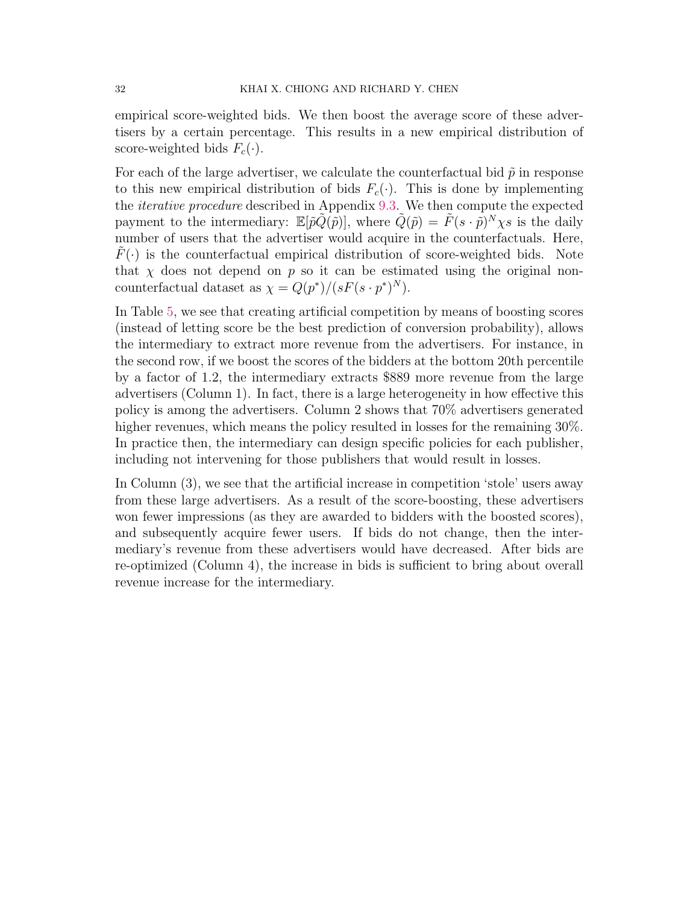empirical score-weighted bids. We then boost the average score of these advertisers by a certain percentage. This results in a new empirical distribution of score-weighted bids  $F_c(\cdot)$ .

For each of the large advertiser, we calculate the counterfactual bid  $\tilde{p}$  in response to this new empirical distribution of bids  $F_c(\cdot)$ . This is done by implementing the iterative procedure described in Appendix [9.3.](#page-39-1) We then compute the expected payment to the intermediary:  $\mathbb{E}[\tilde{p}\tilde{Q}(\tilde{p})]$ , where  $\tilde{Q}(\tilde{p}) = \tilde{F}(s \cdot \tilde{p})^N \chi s$  is the daily number of users that the advertiser would acquire in the counterfactuals. Here,  $F(\cdot)$  is the counterfactual empirical distribution of score-weighted bids. Note that  $\chi$  does not depend on p so it can be estimated using the original noncounterfactual dataset as  $\chi = Q(p^*)/(sF(s \cdot p^*)^N)$ .

In Table [5,](#page-32-0) we see that creating artificial competition by means of boosting scores (instead of letting score be the best prediction of conversion probability), allows the intermediary to extract more revenue from the advertisers. For instance, in the second row, if we boost the scores of the bidders at the bottom 20th percentile by a factor of 1.2, the intermediary extracts \$889 more revenue from the large advertisers (Column 1). In fact, there is a large heterogeneity in how effective this policy is among the advertisers. Column 2 shows that 70% advertisers generated higher revenues, which means the policy resulted in losses for the remaining  $30\%$ . In practice then, the intermediary can design specific policies for each publisher, including not intervening for those publishers that would result in losses.

In Column (3), we see that the artificial increase in competition 'stole' users away from these large advertisers. As a result of the score-boosting, these advertisers won fewer impressions (as they are awarded to bidders with the boosted scores), and subsequently acquire fewer users. If bids do not change, then the intermediary's revenue from these advertisers would have decreased. After bids are re-optimized (Column 4), the increase in bids is sufficient to bring about overall revenue increase for the intermediary.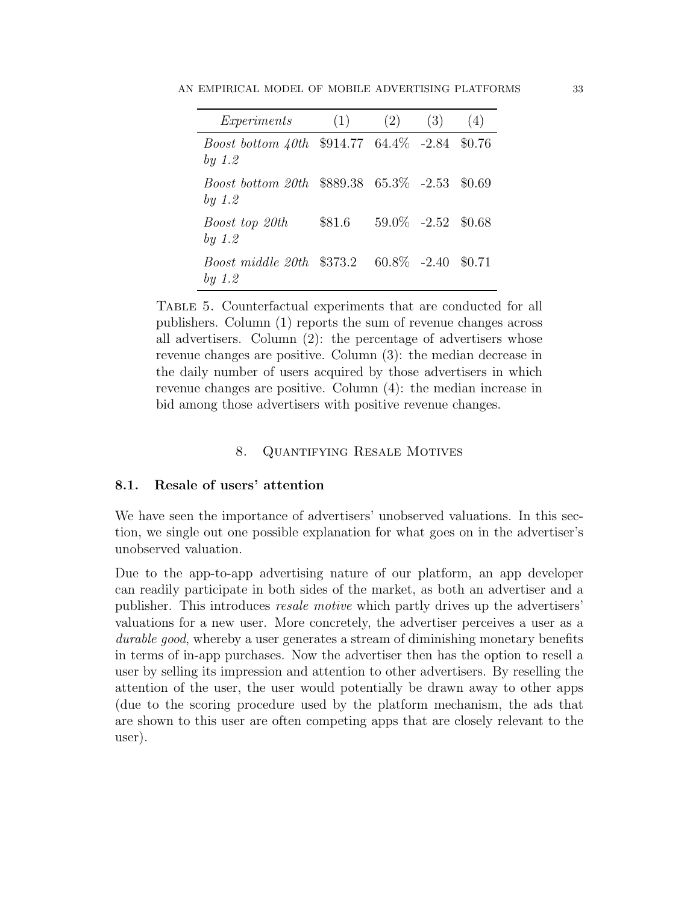<span id="page-32-0"></span>AN EMPIRICAL MODEL OF MOBILE ADVERTISING PLATFORMS 33

| Experiments                                                           | (1)    | (2)                     | (3) | (4)    |
|-----------------------------------------------------------------------|--------|-------------------------|-----|--------|
| <i>Boost bottom <math>40th</math></i> \$914.77 64.4\% -2.84<br>by 1.2 |        |                         |     | \$0.76 |
| <i>Boost bottom 20th</i> \$889.38 65.3\% -2.53 \$0.69<br>by 1.2       |        |                         |     |        |
| Boost top 20th<br>by 1.2                                              | \$81.6 | $59.0\%$ $-2.52$ \$0.68 |     |        |
| <i>Boost middle 20th</i> \$373.2<br>by 1.2                            |        | $60.8\%$ -2.40          |     | \$0.71 |

Table 5. Counterfactual experiments that are conducted for all publishers. Column (1) reports the sum of revenue changes across all advertisers. Column (2): the percentage of advertisers whose revenue changes are positive. Column (3): the median decrease in the daily number of users acquired by those advertisers in which revenue changes are positive. Column (4): the median increase in bid among those advertisers with positive revenue changes.

# 8. Quantifying Resale Motives

# 8.1. Resale of users' attention

We have seen the importance of advertisers' unobserved valuations. In this section, we single out one possible explanation for what goes on in the advertiser's unobserved valuation.

Due to the app-to-app advertising nature of our platform, an app developer can readily participate in both sides of the market, as both an advertiser and a publisher. This introduces resale motive which partly drives up the advertisers' valuations for a new user. More concretely, the advertiser perceives a user as a durable good, whereby a user generates a stream of diminishing monetary benefits in terms of in-app purchases. Now the advertiser then has the option to resell a user by selling its impression and attention to other advertisers. By reselling the attention of the user, the user would potentially be drawn away to other apps (due to the scoring procedure used by the platform mechanism, the ads that are shown to this user are often competing apps that are closely relevant to the user).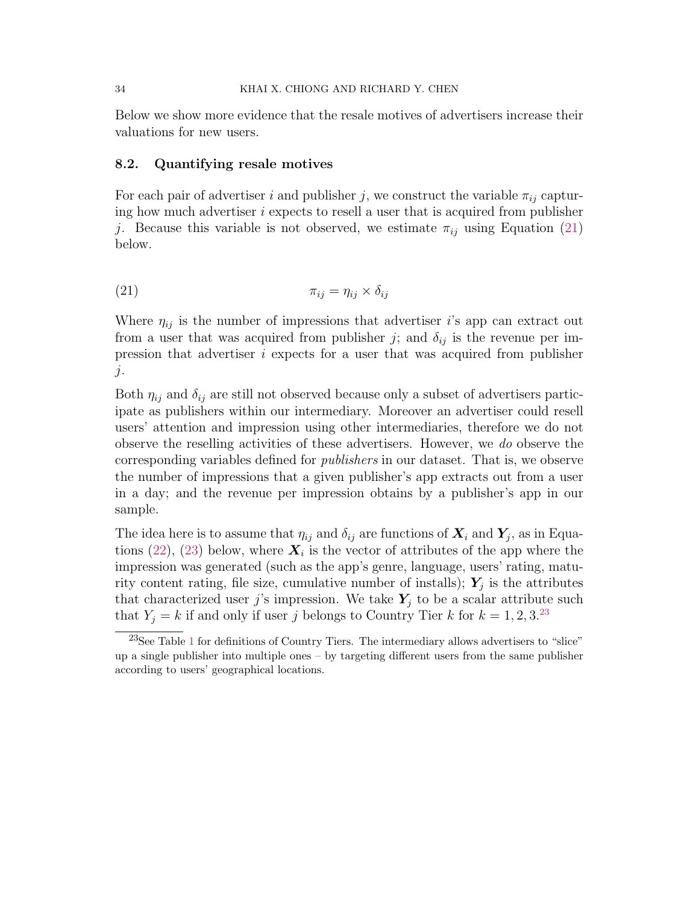#### 34 KHAI X. CHIONG AND RICHARD Y. CHEN

Below we show more evidence that the resale motives of advertisers increase their valuations for new users.

### 8.2. Quantifying resale motives

For each pair of advertiser i and publisher j, we construct the variable  $\pi_{ij}$  capturing how much advertiser  $i$  expects to resell a user that is acquired from publisher j. Because this variable is not observed, we estimate  $\pi_{ij}$  using Equation [\(21\)](#page-33-0) below.

<span id="page-33-0"></span>
$$
\pi_{ij} = \eta_{ij} \times \delta_{ij}
$$

Where  $\eta_{ij}$  is the number of impressions that advertiser i's app can extract out from a user that was acquired from publisher j; and  $\delta_{ij}$  is the revenue per impression that advertiser  $i$  expects for a user that was acquired from publisher  $\dot{j}$ .

Both  $\eta_{ij}$  and  $\delta_{ij}$  are still not observed because only a subset of advertisers participate as publishers within our intermediary. Moreover an advertiser could resell users' attention and impression using other intermediaries, therefore we do not observe the reselling activities of these advertisers. However, we do observe the corresponding variables defined for publishers in our dataset. That is, we observe the number of impressions that a given publisher's app extracts out from a user in a day; and the revenue per impression obtains by a publisher's app in our sample.

The idea here is to assume that  $\eta_{ij}$  and  $\delta_{ij}$  are functions of  $\boldsymbol{X}_i$  and  $\boldsymbol{Y}_j$ , as in Equa-tions [\(22\)](#page-34-0), [\(23\)](#page-34-1) below, where  $\boldsymbol{X}_i$  is the vector of attributes of the app where the impression was generated (such as the app's genre, language, users' rating, maturity content rating, file size, cumulative number of installs);  $Y_j$  is the attributes that characterized user j's impression. We take  $Y_j$  to be a scalar attribute such that  $Y_j = k$  if and only if user j belongs to Country Tier k for  $k = 1, 2, 3^{23}$  $k = 1, 2, 3^{23}$  $k = 1, 2, 3^{23}$ 

<span id="page-33-1"></span> $23$ See Table [1](#page-26-0) for definitions of Country Tiers. The intermediary allows advertisers to "slice" up a single publisher into multiple ones – by targeting different users from the same publisher according to users' geographical locations.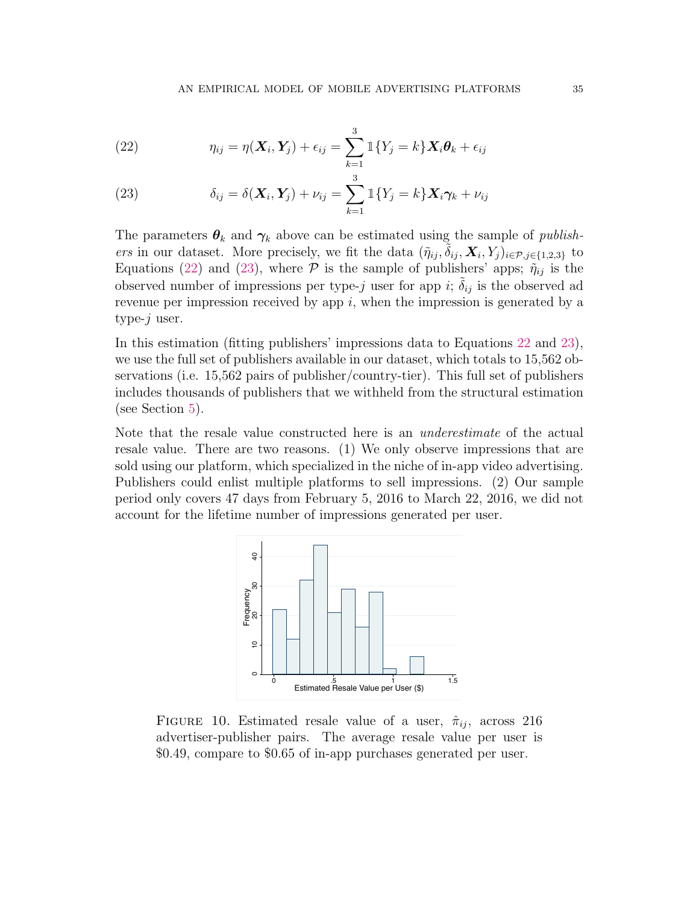<span id="page-34-0"></span>(22) 
$$
\eta_{ij} = \eta(\boldsymbol{X}_i, \boldsymbol{Y}_j) + \epsilon_{ij} = \sum_{k=1}^3 \mathbb{1}\{Y_j = k\} \boldsymbol{X}_i \boldsymbol{\theta}_k + \epsilon_{ij}
$$

<span id="page-34-1"></span>(23) 
$$
\delta_{ij} = \delta(\mathbf{X}_i, \mathbf{Y}_j) + \nu_{ij} = \sum_{k=1}^3 \mathbb{1}\{Y_j = k\} \mathbf{X}_i \boldsymbol{\gamma}_k + \nu_{ij}
$$

The parameters  $\theta_k$  and  $\gamma_k$  above can be estimated using the sample of *publish*ers in our dataset. More precisely, we fit the data  $(\tilde{\eta}_{ij}, \tilde{\delta}_{ij}, \mathbf{X}_i, Y_j)_{i \in \mathcal{P}, j \in \{1,2,3\}}$  to Equations [\(22\)](#page-34-0) and [\(23\)](#page-34-1), where  $P$  is the sample of publishers' apps;  $\tilde{\eta}_{ij}$  is the observed number of impressions per type-j user for app i;  $\tilde{\delta}_{ij}$  is the observed ad revenue per impression received by app  $i$ , when the impression is generated by a type- $j$  user.

In this estimation (fitting publishers' impressions data to Equations [22](#page-34-0) and [23\)](#page-34-1), we use the full set of publishers available in our dataset, which totals to 15,562 observations (i.e. 15,562 pairs of publisher/country-tier). This full set of publishers includes thousands of publishers that we withheld from the structural estimation (see Section [5\)](#page-20-2).

<span id="page-34-2"></span>Note that the resale value constructed here is an underestimate of the actual resale value. There are two reasons. (1) We only observe impressions that are sold using our platform, which specialized in the niche of in-app video advertising. Publishers could enlist multiple platforms to sell impressions. (2) Our sample period only covers 47 days from February 5, 2016 to March 22, 2016, we did not account for the lifetime number of impressions generated per user.



FIGURE 10. Estimated resale value of a user,  $\hat{\pi}_{ij}$ , across 216 advertiser-publisher pairs. The average resale value per user is \$0.49, compare to \$0.65 of in-app purchases generated per user.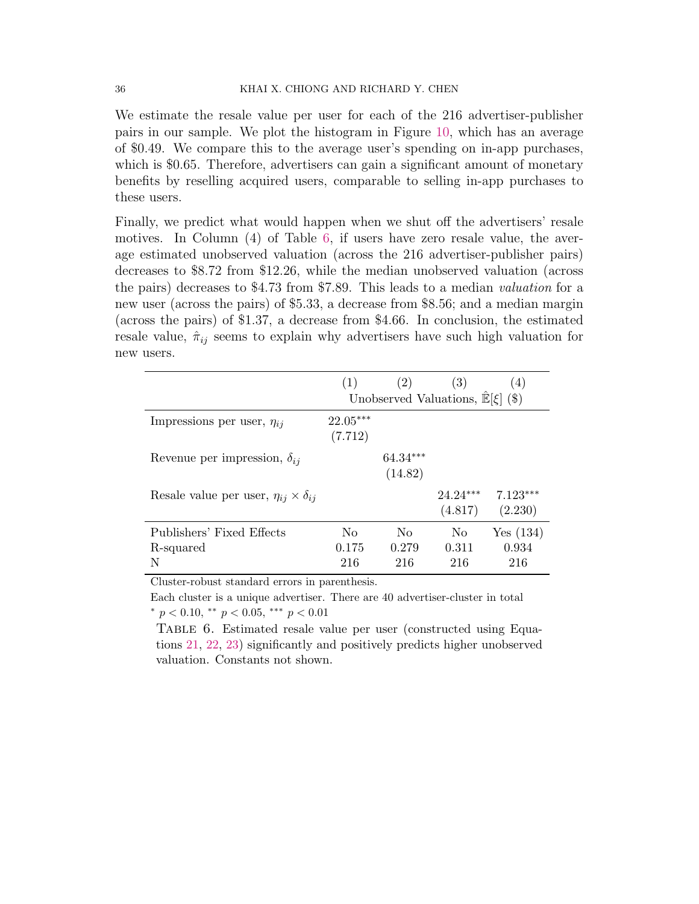We estimate the resale value per user for each of the 216 advertiser-publisher pairs in our sample. We plot the histogram in Figure [10,](#page-34-2) which has an average of \$0.49. We compare this to the average user's spending on in-app purchases, which is \$0.65. Therefore, advertisers can gain a significant amount of monetary benefits by reselling acquired users, comparable to selling in-app purchases to these users.

Finally, we predict what would happen when we shut off the advertisers' resale motives. In Column (4) of Table [6,](#page-35-0) if users have zero resale value, the average estimated unobserved valuation (across the 216 advertiser-publisher pairs) decreases to \$8.72 from \$12.26, while the median unobserved valuation (across the pairs) decreases to \$4.73 from \$7.89. This leads to a median valuation for a new user (across the pairs) of \$5.33, a decrease from \$8.56; and a median margin (across the pairs) of \$1.37, a decrease from \$4.66. In conclusion, the estimated resale value,  $\hat{\pi}_{ij}$  seems to explain why advertisers have such high valuation for new users.

<span id="page-35-0"></span>

|                                                       | (1)                                           | (2)                            | (3)                            | (4)                      |  |
|-------------------------------------------------------|-----------------------------------------------|--------------------------------|--------------------------------|--------------------------|--|
|                                                       | Unobserved Valuations, $\mathbb{E}[\xi]$ (\$) |                                |                                |                          |  |
| Impressions per user, $\eta_{ij}$                     | $22.05***$<br>(7.712)                         |                                |                                |                          |  |
| Revenue per impression, $\delta_{ij}$                 |                                               | $64.34***$<br>(14.82)          |                                |                          |  |
| Resale value per user, $\eta_{ij} \times \delta_{ij}$ |                                               |                                | $24.24***$<br>(4.817)          | $7.123***$<br>(2.230)    |  |
| Publishers' Fixed Effects<br>R-squared<br>N           | No.<br>0.175<br>216                           | N <sub>0</sub><br>0.279<br>216 | N <sub>o</sub><br>0.311<br>216 | Yes(134)<br>0.934<br>216 |  |

Cluster-robust standard errors in parenthesis.

Each cluster is a unique advertiser. There are 40 advertiser-cluster in total  $*$  p < 0.10,  $*$  p < 0.05,  $**$  p < 0.01

Table 6. Estimated resale value per user (constructed using Equations [21,](#page-33-0) [22,](#page-34-0) [23\)](#page-34-1) significantly and positively predicts higher unobserved valuation. Constants not shown.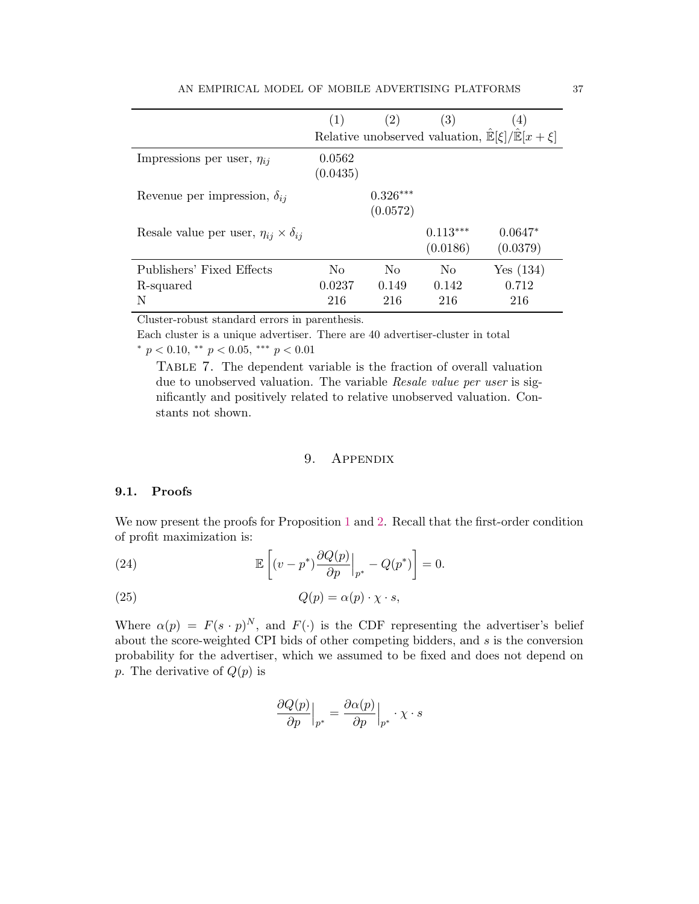|                                                       | (1)                | (2)                    | $\left( 3\right)$      | $\left( 4\right)$                                                  |
|-------------------------------------------------------|--------------------|------------------------|------------------------|--------------------------------------------------------------------|
|                                                       |                    |                        |                        | Relative unobserved valuation, $\mathbb{E}[\xi]/\mathbb{E}[x+\xi]$ |
| Impressions per user, $\eta_{ij}$                     | 0.0562<br>(0.0435) |                        |                        |                                                                    |
| Revenue per impression, $\delta_{ij}$                 |                    | $0.326***$<br>(0.0572) |                        |                                                                    |
| Resale value per user, $\eta_{ij} \times \delta_{ij}$ |                    |                        | $0.113***$<br>(0.0186) | $0.0647*$<br>(0.0379)                                              |
| Publishers' Fixed Effects                             | No                 | No                     | N <sub>0</sub>         | Yes(134)                                                           |
| R-squared                                             | 0.0237             | 0.149                  | 0.142                  | 0.712                                                              |
| N                                                     | 216                | 216                    | 216                    | 216                                                                |

Cluster-robust standard errors in parenthesis.

Each cluster is a unique advertiser. There are 40 advertiser-cluster in total  $*$  p < 0.10,  $*$  p < 0.05,  $**$  p < 0.01

Table 7. The dependent variable is the fraction of overall valuation due to unobserved valuation. The variable Resale value per user is significantly and positively related to relative unobserved valuation. Constants not shown.

## <span id="page-36-0"></span>9. APPENDIX

### 9.1. Proofs

We now present the proofs for Proposition [1](#page-11-3) and [2.](#page-11-2) Recall that the first-order condition of profit maximization is:

(24) 
$$
\mathbb{E}\left[\left(v-p^*\right)\frac{\partial Q(p)}{\partial p}\Big|_{p^*}-Q(p^*)\right]=0.
$$

(25) 
$$
Q(p) = \alpha(p) \cdot \chi \cdot s,
$$

Where  $\alpha(p) = F(s \cdot p)^N$ , and  $F(\cdot)$  is the CDF representing the advertiser's belief about the score-weighted CPI bids of other competing bidders, and s is the conversion probability for the advertiser, which we assumed to be fixed and does not depend on p. The derivative of  $Q(p)$  is

$$
\left. \frac{\partial Q(p)}{\partial p} \right|_{p^*} = \frac{\partial \alpha(p)}{\partial p} \Big|_{p^*} \cdot \chi \cdot s
$$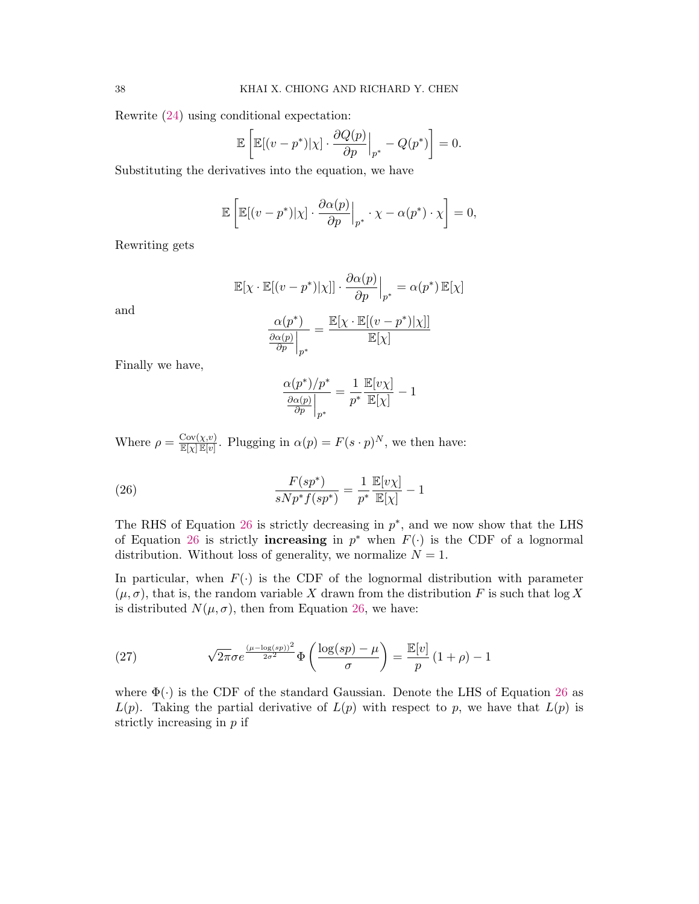Rewrite [\(24\)](#page-36-0) using conditional expectation:

$$
\mathbb{E}\left[\mathbb{E}[(v-p^*)|\chi] \cdot \frac{\partial Q(p)}{\partial p}\Big|_{p^*} - Q(p^*)\right] = 0.
$$

Substituting the derivatives into the equation, we have

$$
\mathbb{E}\left[\mathbb{E}[(v-p^*)|\chi]\cdot\frac{\partial\alpha(p)}{\partial p}\Big|_{p^*}\cdot\chi-\alpha(p^*)\cdot\chi\right]=0,
$$

Rewriting gets

$$
\mathbb{E}[\chi \cdot \mathbb{E}[(v - p^*)|\chi|] \cdot \frac{\partial \alpha(p)}{\partial p}\Big|_{p^*} = \alpha(p^*) \mathbb{E}[\chi]
$$

and

$$
\frac{\alpha(p^*)}{\frac{\partial \alpha(p)}{\partial p}\Big|_{p^*}} = \frac{\mathbb{E}[\chi \cdot \mathbb{E}[(v-p^*)|\chi]]}{\mathbb{E}[\chi]}
$$

Finally we have,

$$
\frac{\alpha(p^*)/p^*}{\frac{\partial \alpha(p)}{\partial p}\Big|_{p^*}} = \frac{1}{p^*} \frac{\mathbb{E}[v\chi]}{\mathbb{E}[\chi]} - 1
$$

Where  $\rho = \frac{\text{Cov}(\chi, v)}{\mathbb{E}[\chi] \mathbb{E}[v]}$ . Plugging in  $\alpha(p) = F(s \cdot p)^N$ , we then have:

<span id="page-37-1"></span>(26) 
$$
\frac{F(sp^*)}{sNp^*f(sp^*)} = \frac{1}{p^*} \frac{\mathbb{E}[v\chi]}{\mathbb{E}[\chi]} - 1
$$

The RHS of Equation [26](#page-37-1) is strictly decreasing in  $p^*$ , and we now show that the LHS of Equation [26](#page-37-1) is strictly **increasing** in  $p^*$  when  $F(\cdot)$  is the CDF of a lognormal distribution. Without loss of generality, we normalize  $N = 1$ .

In particular, when  $F(\cdot)$  is the CDF of the lognormal distribution with parameter  $(\mu, \sigma)$ , that is, the random variable X drawn from the distribution F is such that  $\log X$ is distributed  $N(\mu, \sigma)$ , then from Equation [26,](#page-37-1) we have:

<span id="page-37-0"></span>(27) 
$$
\sqrt{2\pi}\sigma e^{\frac{(\mu-\log(sp))^{2}}{2\sigma^{2}}}\Phi\left(\frac{\log(sp)-\mu}{\sigma}\right)=\frac{\mathbb{E}[v]}{p}\left(1+\rho\right)-1
$$

where  $\Phi(\cdot)$  is the CDF of the standard Gaussian. Denote the LHS of Equation [26](#page-37-1) as  $L(p)$ . Taking the partial derivative of  $L(p)$  with respect to p, we have that  $L(p)$  is strictly increasing in p if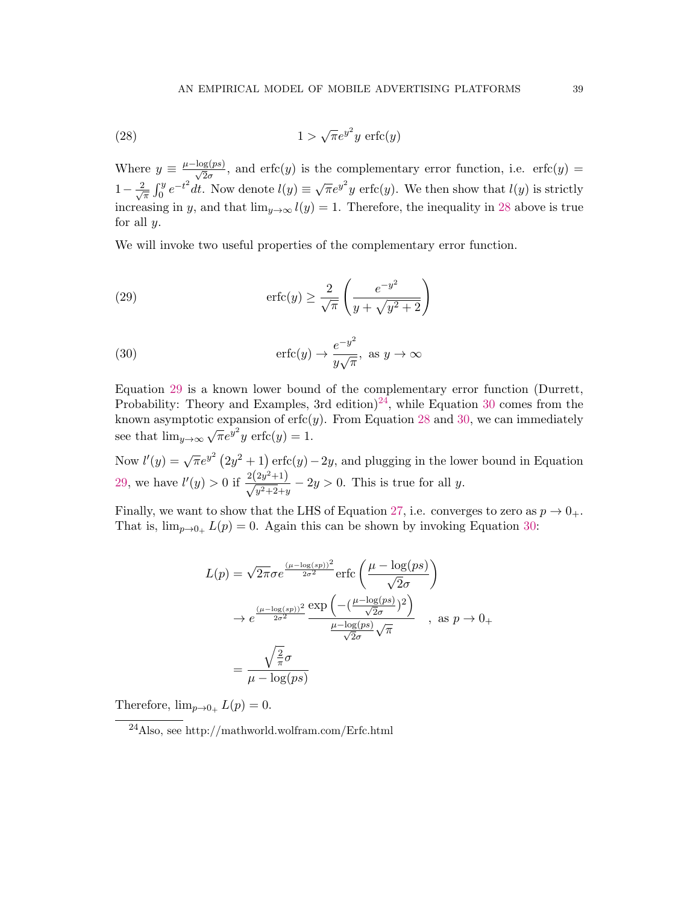<span id="page-38-0"></span>(28) 
$$
1 > \sqrt{\pi}e^{y^2}y \operatorname{erfc}(y)
$$

Where  $y \equiv \frac{\mu - \log(ps)}{\sqrt{2}\sigma}$ , and erfc(y) is the complementary error function, i.e. erfc(y) =  $1-\frac{2}{\sqrt{2}}$  $\frac{d}{dx} \int_0^y e^{-t^2} dt$ . Now denote  $l(y) \equiv \sqrt{\pi}e^{y^2}y$  erfc(y). We then show that  $l(y)$  is strictly increasing in y, and that  $\lim_{y\to\infty} l(y) = 1$ . Therefore, the inequality in [28](#page-38-0) above is true for all  $y$ .

We will invoke two useful properties of the complementary error function.

<span id="page-38-1"></span>(29) 
$$
\operatorname{erfc}(y) \ge \frac{2}{\sqrt{\pi}} \left( \frac{e^{-y^2}}{y + \sqrt{y^2 + 2}} \right)
$$

<span id="page-38-3"></span>(30) 
$$
\operatorname{erfc}(y) \to \frac{e^{-y^2}}{y\sqrt{\pi}}, \text{ as } y \to \infty
$$

Equation [29](#page-38-1) is a known lower bound of the complementary error function (Durrett, Probability: Theory and Examples, 3rd edition)<sup>[24](#page-38-2)</sup>, while Equation [30](#page-38-3) comes from the known asymptotic expansion of  $erfc(y)$ . From Equation [28](#page-38-0) and [30,](#page-38-3) we can immediately see that  $\lim_{y\to\infty} \sqrt{\pi}e^{y^2}y$  erfc $(y) = 1$ .

Now  $l'(y) = \sqrt{\pi}e^{y^2}(2y^2+1)$  erfc $(y) - 2y$ , and plugging in the lower bound in Equation [29,](#page-38-1) we have  $l'(y) > 0$  if  $\frac{2(2y^2+1)}{\sqrt{y^2+2}+y} - 2y > 0$ . This is true for all y.

Finally, we want to show that the LHS of Equation [27,](#page-37-0) i.e. converges to zero as  $p \to 0_+$ . That is,  $\lim_{p\to 0_+} L(p) = 0$ . Again this can be shown by invoking Equation [30:](#page-38-3)

$$
L(p) = \sqrt{2\pi}\sigma e^{\frac{(\mu - \log(sp))^2}{2\sigma^2}} \operatorname{erfc}\left(\frac{\mu - \log(ps)}{\sqrt{2}\sigma}\right)
$$

$$
\rightarrow e^{\frac{(\mu - \log(sp))^2}{2\sigma^2}} \frac{\exp\left(-\left(\frac{\mu - \log(ps)}{\sqrt{2}\sigma}\right)^2\right)}{\frac{\mu - \log(ps)}{\sqrt{2}\sigma}\sqrt{\pi}} , \text{ as } p \rightarrow 0_+
$$

$$
= \frac{\sqrt{\frac{2}{\pi}}\sigma}{\mu - \log(ps)}
$$

Therefore,  $\lim_{p\to 0_+} L(p) = 0$ .

<span id="page-38-2"></span><sup>24</sup>Also, see http://mathworld.wolfram.com/Erfc.html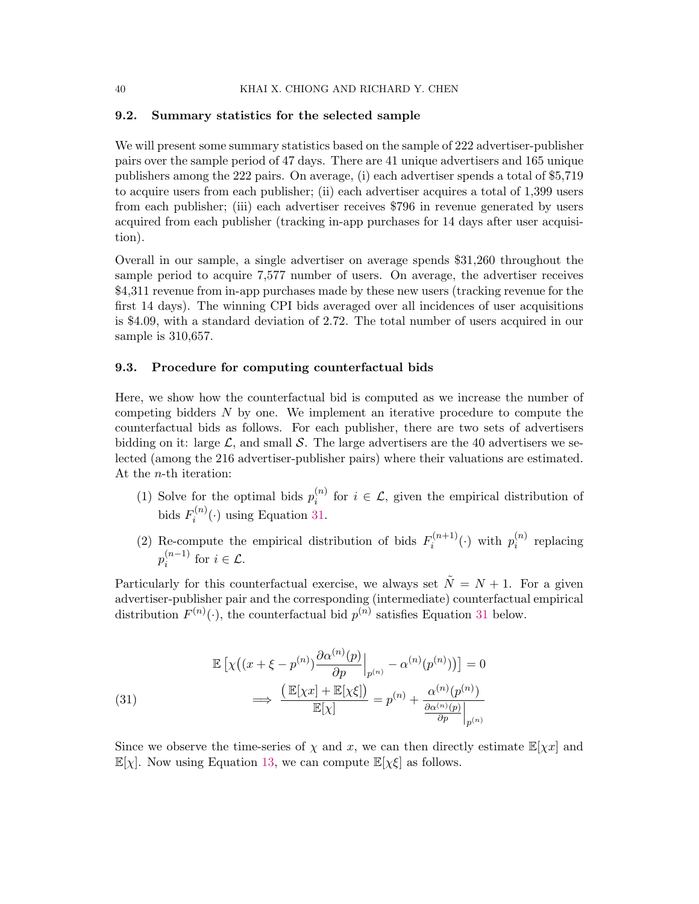#### <span id="page-39-0"></span>9.2. Summary statistics for the selected sample

We will present some summary statistics based on the sample of 222 advertiser-publisher pairs over the sample period of 47 days. There are 41 unique advertisers and 165 unique publishers among the 222 pairs. On average, (i) each advertiser spends a total of \$5,719 to acquire users from each publisher; (ii) each advertiser acquires a total of 1,399 users from each publisher; (iii) each advertiser receives \$796 in revenue generated by users acquired from each publisher (tracking in-app purchases for 14 days after user acquisition).

Overall in our sample, a single advertiser on average spends \$31,260 throughout the sample period to acquire 7,577 number of users. On average, the advertiser receives \$4,311 revenue from in-app purchases made by these new users (tracking revenue for the first 14 days). The winning CPI bids averaged over all incidences of user acquisitions is \$4.09, with a standard deviation of 2.72. The total number of users acquired in our sample is 310,657.

#### <span id="page-39-1"></span>9.3. Procedure for computing counterfactual bids

Here, we show how the counterfactual bid is computed as we increase the number of competing bidders N by one. We implement an iterative procedure to compute the counterfactual bids as follows. For each publisher, there are two sets of advertisers bidding on it: large  $\mathcal{L}$ , and small S. The large advertisers are the 40 advertisers we selected (among the 216 advertiser-publisher pairs) where their valuations are estimated. At the n-th iteration:

- (1) Solve for the optimal bids  $p_i^{(n)}$  $i^{(n)}$  for  $i \in \mathcal{L}$ , given the empirical distribution of bids  $F_i^{(n)}$  $i^{(n)}(.)$  using Equation [31.](#page-39-2)
- (2) Re-compute the empirical distribution of bids  $F_i^{(n+1)}$  $p_i^{(n+1)}(\cdot)$  with  $p_i^{(n)}$  $i^{(n)}$  replacing  $p_i^{(n-1)}$  $i^{(n-1)}$  for  $i \in \mathcal{L}$ .

Particularly for this counterfactual exercise, we always set  $\tilde{N} = N + 1$ . For a given advertiser-publisher pair and the corresponding (intermediate) counterfactual empirical distribution  $F^{(n)}(\cdot)$ , the counterfactual bid  $p^{(n)}$  satisfies Equation [31](#page-39-2) below.

<span id="page-39-2"></span>(31)  
\n
$$
\mathbb{E}\left[\chi\left((x+\xi-p^{(n)})\frac{\partial\alpha^{(n)}(p)}{\partial p}\Big|_{p^{(n)}}-\alpha^{(n)}(p^{(n)})\right)\right]=0
$$
\n
$$
\implies \frac{\left(\mathbb{E}[\chi x]+\mathbb{E}[\chi\xi]\right)}{\mathbb{E}[\chi]}=p^{(n)}+\frac{\alpha^{(n)}(p^{(n)})}{\frac{\partial\alpha^{(n)}(p)}{\partial p}\Big|_{p^{(n)}}}
$$

Since we observe the time-series of  $\chi$  and x, we can then directly estimate  $\mathbb{E}[\chi x]$  and  $\mathbb{E}[\chi]$ . Now using Equation [13,](#page-17-1) we can compute  $\mathbb{E}[\chi \xi]$  as follows.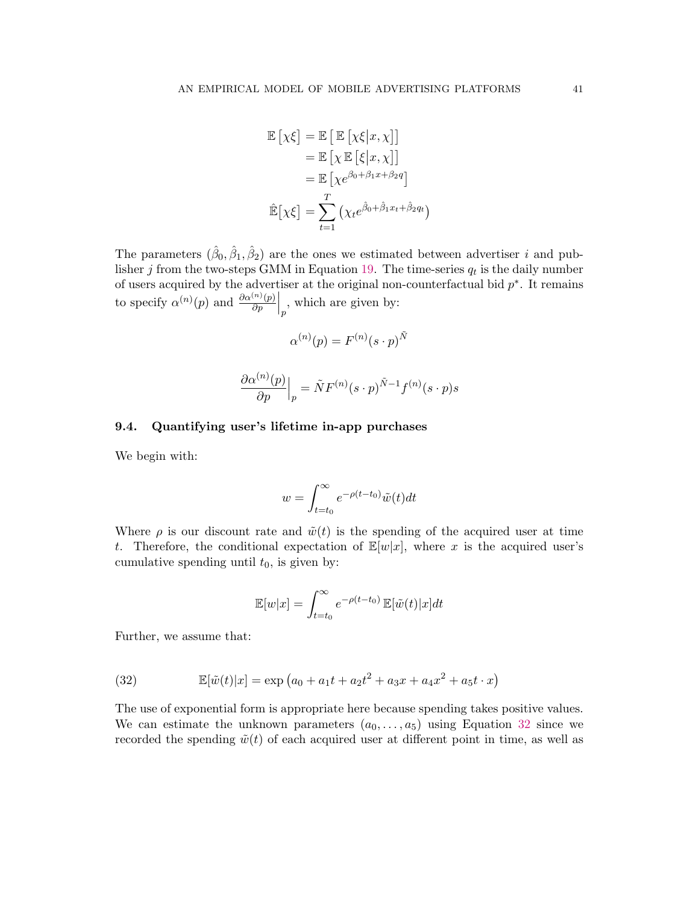$$
\mathbb{E}\left[\chi\xi\right] = \mathbb{E}\left[\mathbb{E}\left[\chi\xi|x,\chi\right]\right] \n= \mathbb{E}\left[\chi\mathbb{E}\left[\xi|x,\chi\right]\right] \n= \mathbb{E}\left[\chi e^{\beta_0+\beta_1x+\beta_2q}\right] \n\mathbb{E}\left[\chi\xi\right] = \sum_{t=1}^{T} \left(\chi_t e^{\hat{\beta}_0+\hat{\beta}_1x_t+\hat{\beta}_2q_t}\right)
$$

The parameters  $(\hat{\beta}_0, \hat{\beta}_1, \hat{\beta}_2)$  are the ones we estimated between advertiser *i* and pub-lisher j from the two-steps GMM in Equation [19.](#page-19-1) The time-series  $q_t$  is the daily number of users acquired by the advertiser at the original non-counterfactual bid  $p^*$ . It remains to specify  $\alpha^{(n)}(p)$  and  $\frac{\partial \alpha^{(n)}(p)}{\partial p}$  $\frac{(n)(p)}{\partial p}\Big|_p$ , which are given by:

$$
\alpha^{(n)}(p) = F^{(n)}(s \cdot p)^{\tilde{N}}
$$

$$
\frac{\partial \alpha^{(n)}(p)}{\partial p}\Big|_p = \tilde{N}F^{(n)}(s \cdot p)^{\tilde{N}-1}f^{(n)}(s \cdot p)s
$$

### <span id="page-40-0"></span>9.4. Quantifying user's lifetime in-app purchases

We begin with:

$$
w = \int_{t=t_0}^{\infty} e^{-\rho(t-t_0)} \tilde{w}(t) dt
$$

Where  $\rho$  is our discount rate and  $\tilde{w}(t)$  is the spending of the acquired user at time t. Therefore, the conditional expectation of  $\mathbb{E}[w|x]$ , where x is the acquired user's cumulative spending until  $t_0$ , is given by:

$$
\mathbb{E}[w|x] = \int_{t=t_0}^{\infty} e^{-\rho(t-t_0)} \mathbb{E}[\tilde{w}(t)|x] dt
$$

Further, we assume that:

<span id="page-40-1"></span>(32) 
$$
\mathbb{E}[\tilde{w}(t)|x] = \exp (a_0 + a_1t + a_2t^2 + a_3x + a_4x^2 + a_5t \cdot x)
$$

The use of exponential form is appropriate here because spending takes positive values. We can estimate the unknown parameters  $(a_0, \ldots, a_5)$  using Equation [32](#page-40-1) since we recorded the spending  $\tilde{w}(t)$  of each acquired user at different point in time, as well as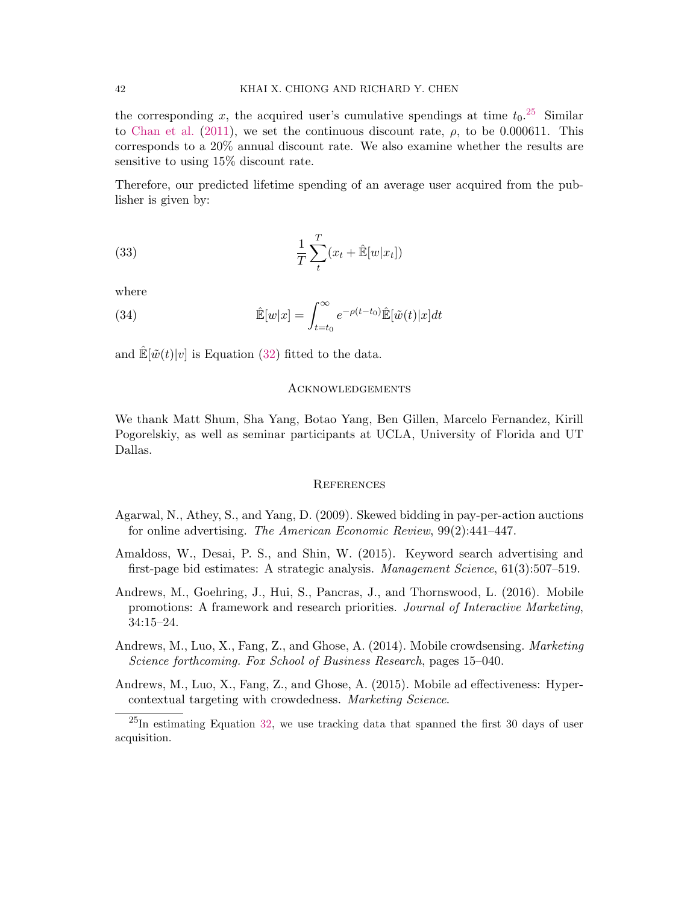the corresponding x, the acquired user's cumulative spendings at time  $t_0$ .<sup>[25](#page-41-5)</sup> Similar to [Chan et al.](#page-42-10) [\(2011\)](#page-42-10), we set the continuous discount rate,  $\rho$ , to be 0.000611. This corresponds to a 20% annual discount rate. We also examine whether the results are sensitive to using 15% discount rate.

Therefore, our predicted lifetime spending of an average user acquired from the publisher is given by:

(33) 
$$
\frac{1}{T} \sum_{t}^{T} (x_t + \hat{\mathbb{E}}[w|x_t])
$$

where

(34) 
$$
\hat{\mathbb{E}}[w|x] = \int_{t=t_0}^{\infty} e^{-\rho(t-t_0)} \hat{\mathbb{E}}[\tilde{w}(t)|x]dt
$$

and  $\mathbb{E}[\tilde{w}(t)|v]$  is Equation [\(32\)](#page-40-1) fitted to the data.

#### **ACKNOWLEDGEMENTS**

We thank Matt Shum, Sha Yang, Botao Yang, Ben Gillen, Marcelo Fernandez, Kirill Pogorelskiy, as well as seminar participants at UCLA, University of Florida and UT Dallas.

#### **REFERENCES**

- <span id="page-41-4"></span>Agarwal, N., Athey, S., and Yang, D. (2009). Skewed bidding in pay-per-action auctions for online advertising. The American Economic Review, 99(2):441–447.
- <span id="page-41-0"></span>Amaldoss, W., Desai, P. S., and Shin, W. (2015). Keyword search advertising and first-page bid estimates: A strategic analysis. Management Science, 61(3):507–519.
- <span id="page-41-3"></span>Andrews, M., Goehring, J., Hui, S., Pancras, J., and Thornswood, L. (2016). Mobile promotions: A framework and research priorities. Journal of Interactive Marketing, 34:15–24.
- <span id="page-41-2"></span>Andrews, M., Luo, X., Fang, Z., and Ghose, A. (2014). Mobile crowdsensing. Marketing Science forthcoming. Fox School of Business Research, pages 15–040.

<span id="page-41-1"></span>Andrews, M., Luo, X., Fang, Z., and Ghose, A. (2015). Mobile ad effectiveness: Hypercontextual targeting with crowdedness. Marketing Science.

<span id="page-41-5"></span> $^{25}$ In estimating Equation [32,](#page-40-1) we use tracking data that spanned the first 30 days of user acquisition.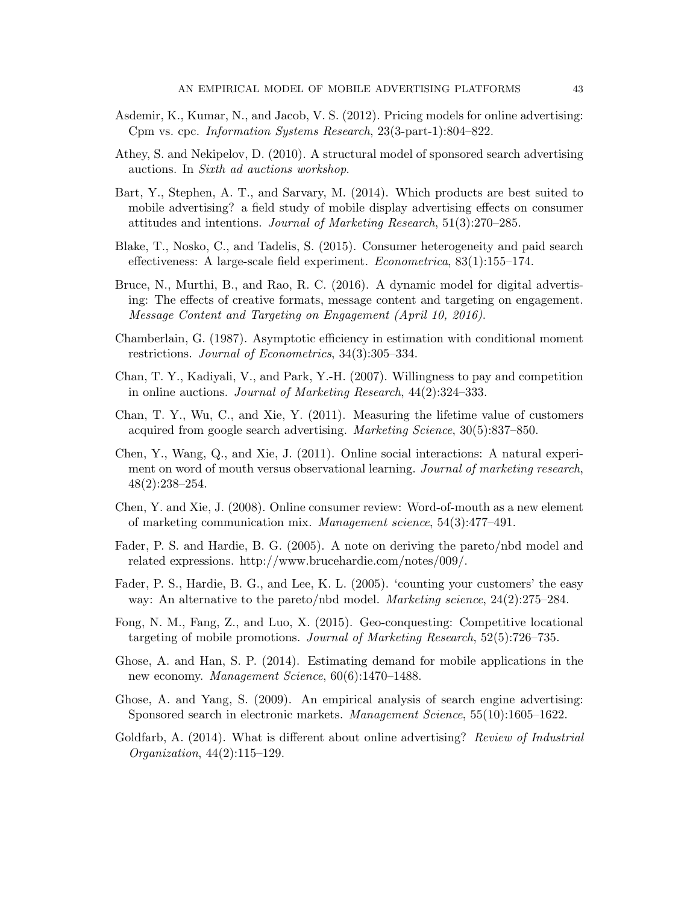- <span id="page-42-6"></span>Asdemir, K., Kumar, N., and Jacob, V. S. (2012). Pricing models for online advertising: Cpm vs. cpc. Information Systems Research, 23(3-part-1):804–822.
- <span id="page-42-1"></span>Athey, S. and Nekipelov, D. (2010). A structural model of sponsored search advertising auctions. In Sixth ad auctions workshop.
- <span id="page-42-3"></span>Bart, Y., Stephen, A. T., and Sarvary, M. (2014). Which products are best suited to mobile advertising? a field study of mobile display advertising effects on consumer attitudes and intentions. Journal of Marketing Research, 51(3):270–285.
- <span id="page-42-11"></span>Blake, T., Nosko, C., and Tadelis, S. (2015). Consumer heterogeneity and paid search effectiveness: A large-scale field experiment. Econometrica, 83(1):155–174.
- <span id="page-42-2"></span>Bruce, N., Murthi, B., and Rao, R. C. (2016). A dynamic model for digital advertising: The effects of creative formats, message content and targeting on engagement. Message Content and Targeting on Engagement (April 10, 2016).
- <span id="page-42-13"></span>Chamberlain, G. (1987). Asymptotic efficiency in estimation with conditional moment restrictions. Journal of Econometrics, 34(3):305–334.
- <span id="page-42-12"></span>Chan, T. Y., Kadiyali, V., and Park, Y.-H. (2007). Willingness to pay and competition in online auctions. Journal of Marketing Research, 44(2):324–333.
- <span id="page-42-10"></span>Chan, T. Y., Wu, C., and Xie, Y. (2011). Measuring the lifetime value of customers acquired from google search advertising. Marketing Science, 30(5):837–850.
- Chen, Y., Wang, Q., and Xie, J. (2011). Online social interactions: A natural experiment on word of mouth versus observational learning. Journal of marketing research, 48(2):238–254.
- Chen, Y. and Xie, J. (2008). Online consumer review: Word-of-mouth as a new element of marketing communication mix. Management science, 54(3):477–491.
- <span id="page-42-8"></span>Fader, P. S. and Hardie, B. G. (2005). A note on deriving the pareto/nbd model and related expressions. http://www.brucehardie.com/notes/009/.
- <span id="page-42-9"></span>Fader, P. S., Hardie, B. G., and Lee, K. L. (2005). 'counting your customers' the easy way: An alternative to the pareto/nbd model. *Marketing science*, 24(2):275–284.
- <span id="page-42-5"></span>Fong, N. M., Fang, Z., and Luo, X. (2015). Geo-conquesting: Competitive locational targeting of mobile promotions. Journal of Marketing Research, 52(5):726–735.
- <span id="page-42-4"></span>Ghose, A. and Han, S. P. (2014). Estimating demand for mobile applications in the new economy. Management Science, 60(6):1470–1488.
- <span id="page-42-7"></span>Ghose, A. and Yang, S. (2009). An empirical analysis of search engine advertising: Sponsored search in electronic markets. Management Science, 55(10):1605–1622.
- <span id="page-42-0"></span>Goldfarb, A. (2014). What is different about online advertising? Review of Industrial Organization, 44(2):115–129.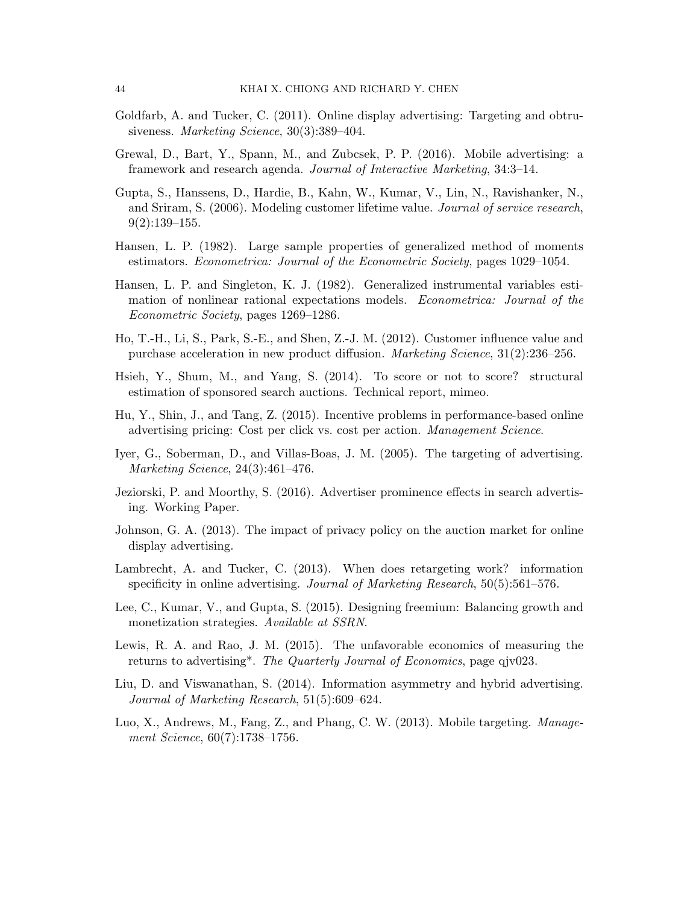- <span id="page-43-4"></span>Goldfarb, A. and Tucker, C. (2011). Online display advertising: Targeting and obtrusiveness. Marketing Science, 30(3):389–404.
- <span id="page-43-7"></span>Grewal, D., Bart, Y., Spann, M., and Zubcsek, P. P. (2016). Mobile advertising: a framework and research agenda. Journal of Interactive Marketing, 34:3–14.
- <span id="page-43-11"></span>Gupta, S., Hanssens, D., Hardie, B., Kahn, W., Kumar, V., Lin, N., Ravishanker, N., and Sriram, S. (2006). Modeling customer lifetime value. Journal of service research,  $9(2):139-155.$
- <span id="page-43-14"></span>Hansen, L. P. (1982). Large sample properties of generalized method of moments estimators. Econometrica: Journal of the Econometric Society, pages 1029–1054.
- <span id="page-43-15"></span>Hansen, L. P. and Singleton, K. J. (1982). Generalized instrumental variables estimation of nonlinear rational expectations models. Econometrica: Journal of the Econometric Society, pages 1269–1286.
- <span id="page-43-13"></span>Ho, T.-H., Li, S., Park, S.-E., and Shen, Z.-J. M. (2012). Customer influence value and purchase acceleration in new product diffusion. Marketing Science, 31(2):236–256.
- <span id="page-43-1"></span>Hsieh, Y., Shum, M., and Yang, S. (2014). To score or not to score? structural estimation of sponsored search auctions. Technical report, mimeo.
- <span id="page-43-9"></span>Hu, Y., Shin, J., and Tang, Z. (2015). Incentive problems in performance-based online advertising pricing: Cost per click vs. cost per action. Management Science.
- <span id="page-43-5"></span>Iyer, G., Soberman, D., and Villas-Boas, J. M. (2005). The targeting of advertising. Marketing Science, 24(3):461–476.
- <span id="page-43-2"></span>Jeziorski, P. and Moorthy, S. (2016). Advertiser prominence effects in search advertising. Working Paper.
- <span id="page-43-3"></span>Johnson, G. A. (2013). The impact of privacy policy on the auction market for online display advertising.
- <span id="page-43-6"></span>Lambrecht, A. and Tucker, C. (2013). When does retargeting work? information specificity in online advertising. Journal of Marketing Research, 50(5):561–576.
- <span id="page-43-0"></span>Lee, C., Kumar, V., and Gupta, S. (2015). Designing freemium: Balancing growth and monetization strategies. Available at SSRN.
- <span id="page-43-12"></span>Lewis, R. A. and Rao, J. M. (2015). The unfavorable economics of measuring the returns to advertising\*. The Quarterly Journal of Economics, page qjv023.
- <span id="page-43-10"></span>Liu, D. and Viswanathan, S. (2014). Information asymmetry and hybrid advertising. Journal of Marketing Research, 51(5):609–624.
- <span id="page-43-8"></span>Luo, X., Andrews, M., Fang, Z., and Phang, C. W. (2013). Mobile targeting. Management Science, 60(7):1738–1756.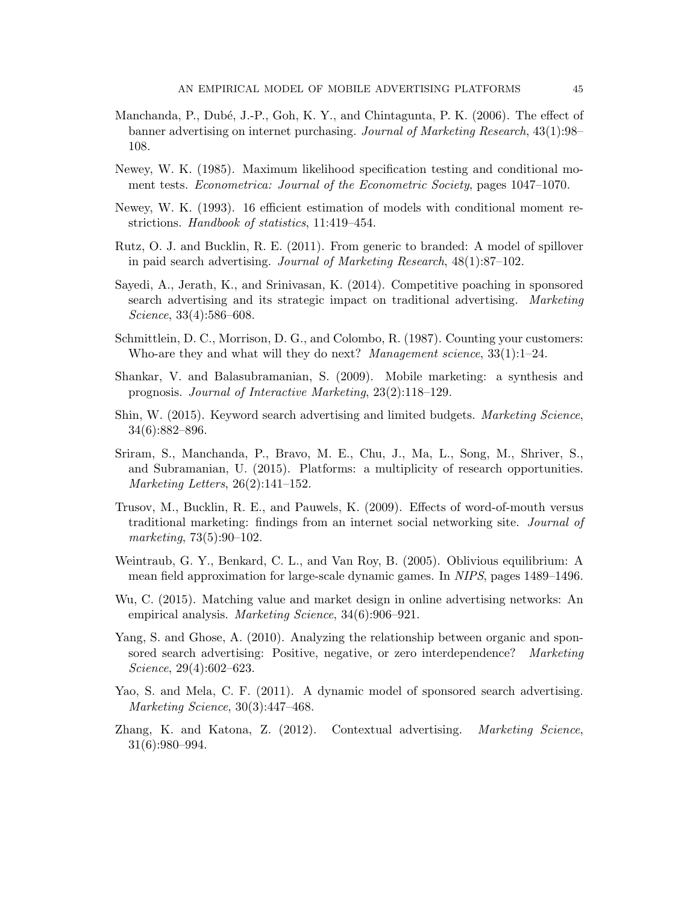- <span id="page-44-4"></span>Manchanda, P., Dubé, J.-P., Goh, K. Y., and Chintagunta, P. K. (2006). The effect of banner advertising on internet purchasing. Journal of Marketing Research, 43(1):98– 108.
- <span id="page-44-12"></span>Newey, W. K. (1985). Maximum likelihood specification testing and conditional moment tests. Econometrica: Journal of the Econometric Society, pages 1047–1070.
- <span id="page-44-13"></span>Newey, W. K. (1993). 16 efficient estimation of models with conditional moment restrictions. Handbook of statistics, 11:419–454.
- <span id="page-44-1"></span>Rutz, O. J. and Bucklin, R. E. (2011). From generic to branded: A model of spillover in paid search advertising. Journal of Marketing Research, 48(1):87–102.
- <span id="page-44-7"></span>Sayedi, A., Jerath, K., and Srinivasan, K. (2014). Competitive poaching in sponsored search advertising and its strategic impact on traditional advertising. Marketing Science, 33(4):586–608.
- <span id="page-44-10"></span>Schmittlein, D. C., Morrison, D. G., and Colombo, R. (1987). Counting your customers: Who-are they and what will they do next? Management science,  $33(1)$ :1–24.
- <span id="page-44-9"></span>Shankar, V. and Balasubramanian, S. (2009). Mobile marketing: a synthesis and prognosis. Journal of Interactive Marketing, 23(2):118–129.
- <span id="page-44-0"></span>Shin, W. (2015). Keyword search advertising and limited budgets. Marketing Science, 34(6):882–896.
- <span id="page-44-5"></span>Sriram, S., Manchanda, P., Bravo, M. E., Chu, J., Ma, L., Song, M., Shriver, S., and Subramanian, U. (2015). Platforms: a multiplicity of research opportunities. Marketing Letters, 26(2):141–152.
- Trusov, M., Bucklin, R. E., and Pauwels, K. (2009). Effects of word-of-mouth versus traditional marketing: findings from an internet social networking site. Journal of marketing, 73(5):90–102.
- <span id="page-44-11"></span>Weintraub, G. Y., Benkard, C. L., and Van Roy, B. (2005). Oblivious equilibrium: A mean field approximation for large-scale dynamic games. In NIPS, pages 1489–1496.
- <span id="page-44-6"></span>Wu, C. (2015). Matching value and market design in online advertising networks: An empirical analysis. Marketing Science, 34(6):906–921.
- <span id="page-44-2"></span>Yang, S. and Ghose, A. (2010). Analyzing the relationship between organic and sponsored search advertising: Positive, negative, or zero interdependence? Marketing Science, 29(4):602–623.
- <span id="page-44-3"></span>Yao, S. and Mela, C. F. (2011). A dynamic model of sponsored search advertising. Marketing Science, 30(3):447–468.
- <span id="page-44-8"></span>Zhang, K. and Katona, Z. (2012). Contextual advertising. *Marketing Science*, 31(6):980–994.